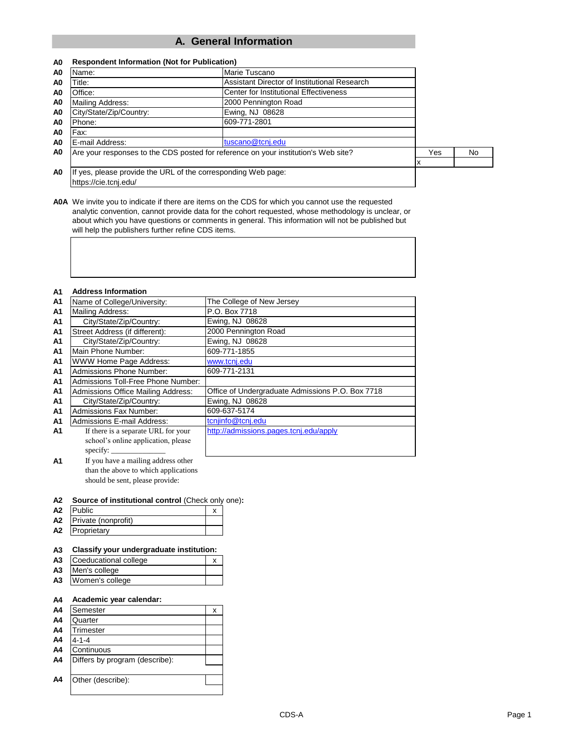# **A. General Information**

| A0 | <b>Respondent Information (Not for Publication)</b> |  |
|----|-----------------------------------------------------|--|
|    |                                                     |  |

| A0             | Name:                                                                              | Marie Tuscano                                |     |    |
|----------------|------------------------------------------------------------------------------------|----------------------------------------------|-----|----|
| A0             | Title:                                                                             | Assistant Director of Institutional Research |     |    |
| A0             | Office:                                                                            | Center for Institutional Effectiveness       |     |    |
| A <sub>0</sub> | Mailing Address:                                                                   | 2000 Pennington Road                         |     |    |
| A <sub>0</sub> | City/State/Zip/Country:                                                            | Ewing, NJ 08628                              |     |    |
| A <sub>0</sub> | Phone:                                                                             | 609-771-2801                                 |     |    |
| A0             | Fax:                                                                               |                                              |     |    |
| A <sub>0</sub> | E-mail Address:                                                                    | tuscano@tcnj.edu                             |     |    |
| A <sub>0</sub> | Are your responses to the CDS posted for reference on your institution's Web site? |                                              | Yes | No |
|                |                                                                                    |                                              |     |    |
| A <sub>0</sub> | If yes, please provide the URL of the corresponding Web page:                      |                                              |     |    |
|                | https://cie.tcnj.edu/                                                              |                                              |     |    |

**A0A** We invite you to indicate if there are items on the CDS for which you cannot use the requested analytic convention, cannot provide data for the cohort requested, whose methodology is unclear, or about which you have questions or comments in general. This information will not be published but will help the publishers further refine CDS items.

#### **A1 Address Information**

| A1             | Name of College/University:               | The College of New Jersey                        |
|----------------|-------------------------------------------|--------------------------------------------------|
| A1             | <b>Mailing Address:</b>                   | P.O. Box 7718                                    |
| A <sub>1</sub> | City/State/Zip/Country:                   | Ewing, NJ 08628                                  |
| A <sub>1</sub> | Street Address (if different):            | 2000 Pennington Road                             |
| <b>A1</b>      | City/State/Zip/Country:                   | Ewing, NJ 08628                                  |
| A <sub>1</sub> | Main Phone Number:                        | 609-771-1855                                     |
| A1             | <b>WWW Home Page Address:</b>             | www.tcnj.edu                                     |
| A <sub>1</sub> | Admissions Phone Number:                  | 609-771-2131                                     |
| A <sub>1</sub> | Admissions Toll-Free Phone Number:        |                                                  |
| A <sub>1</sub> | <b>Admissions Office Mailing Address:</b> | Office of Undergraduate Admissions P.O. Box 7718 |
| A <sub>1</sub> | City/State/Zip/Country:                   | Ewing, NJ 08628                                  |
| A <sub>1</sub> | <b>Admissions Fax Number:</b>             | 609-637-5174                                     |
| A <sub>1</sub> | Admissions E-mail Address:                | tcnjinfo@tcnj.edu                                |
| A1             | If there is a separate URL for your       | http://admissions.pages.tcnj.edu/apply           |
|                | school's online application, please       |                                                  |
|                | specify: $\_\_$                           |                                                  |

**A1** If you have a mailing address other than the above to which applications should be sent, please provide:

#### **A2 Source of institutional control** (Check only one)**:**

| A2 | <b>IPublic</b>      |  |
|----|---------------------|--|
| A2 | Private (nonprofit) |  |
| A2 | Proprietary         |  |

## **A3 Classify your undergraduate institution:**

| A <sub>3</sub> | Coeducational college |  |
|----------------|-----------------------|--|
| A <sub>3</sub> | Men's college         |  |
| A <sub>3</sub> | Women's college       |  |

## **A4 Academic year calendar:**

| A4             | Semester                       | x |
|----------------|--------------------------------|---|
| A <sub>4</sub> | Quarter                        |   |
| A <sub>4</sub> | <b>Trimester</b>               |   |
| A <sub>4</sub> | $4 - 1 - 4$                    |   |
| A <sub>4</sub> | Continuous                     |   |
| A4             | Differs by program (describe): |   |
|                |                                |   |
| A4             | Other (describe):              |   |
|                |                                |   |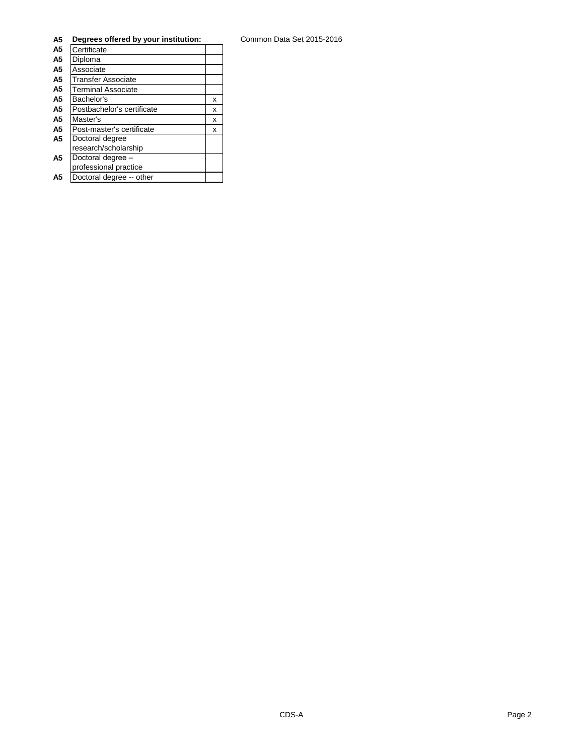## A5 **Degrees offered by your institution:** Common Data Set 2015-2016

| rw             | Dogrood Unoroa by your moutation. |   |
|----------------|-----------------------------------|---|
| A5             | Certificate                       |   |
| A <sub>5</sub> | Diploma                           |   |
| <b>A5</b>      | Associate                         |   |
| A5             | <b>Transfer Associate</b>         |   |
| A5             | <b>Terminal Associate</b>         |   |
| A <sub>5</sub> | Bachelor's                        | x |
| A5             | Postbachelor's certificate        | x |
| A5             | Master's                          | x |
| A <sub>5</sub> | Post-master's certificate         | x |
| A <sub>5</sub> | Doctoral degree                   |   |
|                | research/scholarship              |   |
| A5             | Doctoral degree -                 |   |
|                | professional practice             |   |
| А5             | Doctoral degree -- other          |   |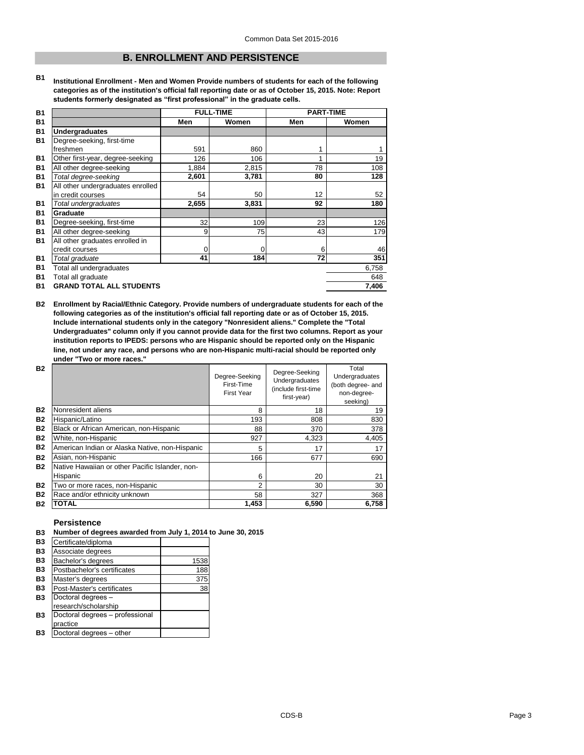# **B. ENROLLMENT AND PERSISTENCE**

**B1 Institutional Enrollment - Men and Women Provide numbers of students for each of the following categories as of the institution's official fall reporting date or as of October 15, 2015. Note: Report students formerly designated as "first professional" in the graduate cells.**

| <b>B1</b>      |                                   |       | <b>FULL-TIME</b> | <b>PART-TIME</b> |       |
|----------------|-----------------------------------|-------|------------------|------------------|-------|
| <b>B1</b>      |                                   | Men   | Women            | Men              | Women |
| <b>B1</b>      | <b>Undergraduates</b>             |       |                  |                  |       |
| <b>B1</b>      | Degree-seeking, first-time        |       |                  |                  |       |
|                | freshmen                          | 591   | 860              |                  |       |
| <b>B1</b>      | Other first-year, degree-seeking  | 126   | 106              | 4                | 19    |
| <b>B1</b>      | All other degree-seeking          | 1,884 | 2,815            | 78               | 108   |
| <b>B1</b>      | Total degree-seeking              | 2,601 | 3,781            | 80               | 128   |
| <b>B1</b>      | All other undergraduates enrolled |       |                  |                  |       |
|                | in credit courses                 | 54    | 50               | 12               | 52    |
| <b>B1</b>      | Total undergraduates              | 2,655 | 3,831            | 92               | 180   |
| <b>B1</b>      | <b>Graduate</b>                   |       |                  |                  |       |
| <b>B1</b>      | Degree-seeking, first-time        | 32    | 109              | 23               | 126   |
| <b>B1</b>      | All other degree-seeking          | 9     | 75               | 43               | 179   |
| <b>B1</b>      | All other graduates enrolled in   |       |                  |                  |       |
|                | credit courses                    |       |                  | 6                | 46    |
| <b>B1</b>      | Total graduate                    | 41    | 184              | 72               | 351   |
| <b>B1</b>      | Total all undergraduates          |       |                  |                  | 6,758 |
| B <sub>1</sub> | Total all graduate                |       |                  |                  | 648   |
| <b>B1</b>      | <b>GRAND TOTAL ALL STUDENTS</b>   |       |                  |                  | 7,406 |

**B2 Enrollment by Racial/Ethnic Category. Provide numbers of undergraduate students for each of the following categories as of the institution's official fall reporting date or as of October 15, 2015. Include international students only in the category "Nonresident aliens." Complete the "Total Undergraduates" column only if you cannot provide data for the first two columns. Report as your institution reports to IPEDS: persons who are Hispanic should be reported only on the Hispanic line, not under any race, and persons who are non-Hispanic multi-racial should be reported only under "Two or more races."** 

| <b>B2</b> |                                                 | Degree-Seeking<br>First-Time<br><b>First Year</b> | Degree-Seeking<br>Undergraduates<br>(include first-time<br>first-year) | Total<br>Undergraduates<br>(both degree- and<br>non-degree-<br>seeking) |
|-----------|-------------------------------------------------|---------------------------------------------------|------------------------------------------------------------------------|-------------------------------------------------------------------------|
| <b>B2</b> | Nonresident aliens                              | 8                                                 | 18                                                                     | 19                                                                      |
| <b>B2</b> | Hispanic/Latino                                 | 193                                               | 808                                                                    | 830                                                                     |
| <b>B2</b> | Black or African American, non-Hispanic         | 88                                                | 370                                                                    | 378                                                                     |
| <b>B2</b> | White, non-Hispanic                             | 927                                               | 4,323                                                                  | 4,405                                                                   |
| <b>B2</b> | American Indian or Alaska Native, non-Hispanic  | 5                                                 | 17                                                                     | 17                                                                      |
| <b>B2</b> | Asian, non-Hispanic                             | 166                                               | 677                                                                    | 690                                                                     |
| <b>B2</b> | Native Hawaiian or other Pacific Islander, non- |                                                   |                                                                        |                                                                         |
|           | Hispanic                                        | 6                                                 | 20                                                                     | 21                                                                      |
| <b>B2</b> | Two or more races, non-Hispanic                 | 2                                                 | 30                                                                     | 30                                                                      |
| <b>B2</b> | Race and/or ethnicity unknown                   | 58                                                | 327                                                                    | 368                                                                     |
| <b>B2</b> | <b>TOTAL</b>                                    | 1,453                                             | 6,590                                                                  | 6,758                                                                   |

#### **Persistence**

#### **B3 Number of degrees awarded from July 1, 2014 to June 30, 2015**

| Certificate/diploma                         |      |
|---------------------------------------------|------|
| Associate degrees                           |      |
| Bachelor's degrees                          | 1538 |
| Postbachelor's certificates                 | 188  |
| Master's degrees                            | 375  |
| Post-Master's certificates                  | 38   |
| Doctoral degrees -<br>research/scholarship  |      |
| Doctoral degrees - professional<br>practice |      |
| Doctoral degrees - other                    |      |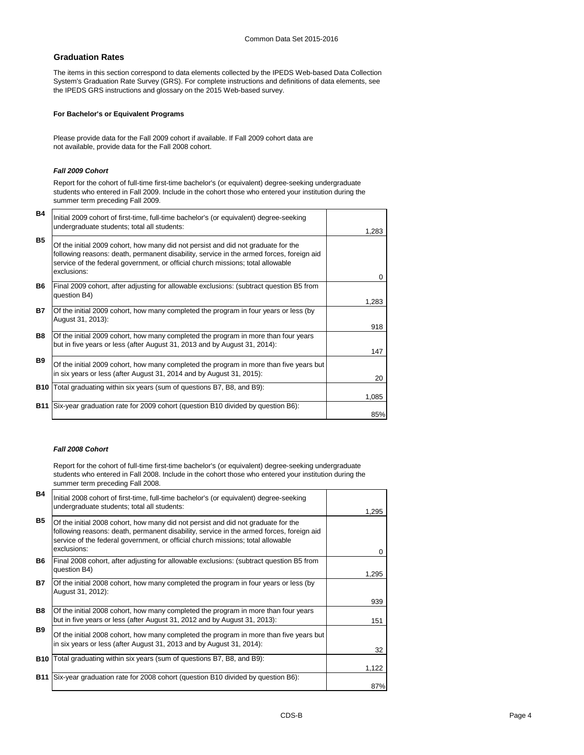## **Graduation Rates**

The items in this section correspond to data elements collected by the IPEDS Web-based Data Collection System's Graduation Rate Survey (GRS). For complete instructions and definitions of data elements, see the IPEDS GRS instructions and glossary on the 2015 Web-based survey.

#### **For Bachelor's or Equivalent Programs**

Please provide data for the Fall 2009 cohort if available. If Fall 2009 cohort data are not available, provide data for the Fall 2008 cohort.

## *Fall 2009 Cohort*

Report for the cohort of full-time first-time bachelor's (or equivalent) degree-seeking undergraduate students who entered in Fall 2009. Include in the cohort those who entered your institution during the summer term preceding Fall 2009.

| <b>B4</b>  | Initial 2009 cohort of first-time, full-time bachelor's (or equivalent) degree-seeking<br>undergraduate students; total all students:                                                                                                                                           | 1,283 |
|------------|---------------------------------------------------------------------------------------------------------------------------------------------------------------------------------------------------------------------------------------------------------------------------------|-------|
| <b>B5</b>  | Of the initial 2009 cohort, how many did not persist and did not graduate for the<br>following reasons: death, permanent disability, service in the armed forces, foreign aid<br>service of the federal government, or official church missions; total allowable<br>exclusions: | 0     |
| <b>B6</b>  | Final 2009 cohort, after adjusting for allowable exclusions: (subtract question B5 from<br>question B4)                                                                                                                                                                         | 1,283 |
| <b>B7</b>  | Of the initial 2009 cohort, how many completed the program in four years or less (by<br>August 31, 2013):                                                                                                                                                                       | 918   |
| B8         | Of the initial 2009 cohort, how many completed the program in more than four years<br>but in five years or less (after August 31, 2013 and by August 31, 2014):                                                                                                                 | 147   |
| <b>B9</b>  | Of the initial 2009 cohort, how many completed the program in more than five years but<br>in six years or less (after August 31, 2014 and by August 31, 2015):                                                                                                                  | 20    |
| <b>B10</b> | Total graduating within six years (sum of questions B7, B8, and B9):                                                                                                                                                                                                            | 1,085 |
| <b>B11</b> | Six-year graduation rate for 2009 cohort (question B10 divided by question B6):                                                                                                                                                                                                 | 85%   |

#### *Fall 2008 Cohort*

Report for the cohort of full-time first-time bachelor's (or equivalent) degree-seeking undergraduate students who entered in Fall 2008. Include in the cohort those who entered your institution during the summer term preceding Fall 2008.

| <b>B4</b>  | Initial 2008 cohort of first-time, full-time bachelor's (or equivalent) degree-seeking<br>undergraduate students; total all students:                                                                                                                                           |       |
|------------|---------------------------------------------------------------------------------------------------------------------------------------------------------------------------------------------------------------------------------------------------------------------------------|-------|
|            |                                                                                                                                                                                                                                                                                 | 1,295 |
| <b>B5</b>  | Of the initial 2008 cohort, how many did not persist and did not graduate for the<br>following reasons: death, permanent disability, service in the armed forces, foreign aid<br>service of the federal government, or official church missions; total allowable<br>exclusions: | Ω     |
| <b>B6</b>  | Final 2008 cohort, after adjusting for allowable exclusions: (subtract question B5 from<br>question B4)                                                                                                                                                                         | 1,295 |
| <b>B7</b>  | Of the initial 2008 cohort, how many completed the program in four years or less (by<br>August 31, 2012):                                                                                                                                                                       |       |
|            |                                                                                                                                                                                                                                                                                 | 939   |
| <b>B8</b>  | Of the initial 2008 cohort, how many completed the program in more than four years<br>but in five years or less (after August 31, 2012 and by August 31, 2013):                                                                                                                 | 151   |
| <b>B</b> 9 | Of the initial 2008 cohort, how many completed the program in more than five years but<br>in six years or less (after August 31, 2013 and by August 31, 2014):                                                                                                                  | 32    |
| <b>B10</b> | Total graduating within six years (sum of questions B7, B8, and B9):                                                                                                                                                                                                            |       |
|            |                                                                                                                                                                                                                                                                                 | 1,122 |
| <b>B11</b> | Six-year graduation rate for 2008 cohort (question B10 divided by question B6):                                                                                                                                                                                                 |       |
|            |                                                                                                                                                                                                                                                                                 | 87%   |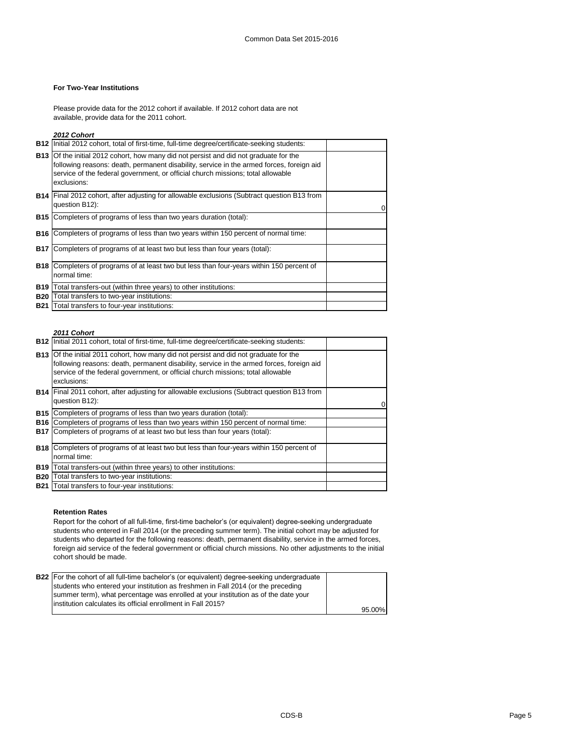## **For Two-Year Institutions**

Please provide data for the 2012 cohort if available. If 2012 cohort data are not available, provide data for the 2011 cohort.

#### *2012 Cohort*

|            | <b>B12</b> Initial 2012 cohort, total of first-time, full-time degree/certificate-seeking students:                                                                                                                                                                                        |  |
|------------|--------------------------------------------------------------------------------------------------------------------------------------------------------------------------------------------------------------------------------------------------------------------------------------------|--|
|            | <b>B13</b> Of the initial 2012 cohort, how many did not persist and did not graduate for the<br>following reasons: death, permanent disability, service in the armed forces, foreign aid<br>service of the federal government, or official church missions; total allowable<br>exclusions: |  |
|            | <b>B14</b> Final 2012 cohort, after adjusting for allowable exclusions (Subtract question B13 from<br>question B12):                                                                                                                                                                       |  |
|            | <b>B15</b> Completers of programs of less than two years duration (total):                                                                                                                                                                                                                 |  |
| <b>B16</b> | Completers of programs of less than two years within 150 percent of normal time:                                                                                                                                                                                                           |  |
| <b>B17</b> | Completers of programs of at least two but less than four years (total):                                                                                                                                                                                                                   |  |
| <b>B18</b> | Completers of programs of at least two but less than four-years within 150 percent of<br>normal time:                                                                                                                                                                                      |  |
| <b>B19</b> | Total transfers-out (within three years) to other institutions:                                                                                                                                                                                                                            |  |
| <b>B20</b> | Total transfers to two-year institutions:                                                                                                                                                                                                                                                  |  |
|            | <b>B21</b> Total transfers to four-year institutions:                                                                                                                                                                                                                                      |  |

#### *2011 Cohort*

|            | B12   Initial 2011 cohort, total of first-time, full-time degree/certificate-seeking students:                                                                                                                                                                                             |  |
|------------|--------------------------------------------------------------------------------------------------------------------------------------------------------------------------------------------------------------------------------------------------------------------------------------------|--|
|            | <b>B13</b> Of the initial 2011 cohort, how many did not persist and did not graduate for the<br>following reasons: death, permanent disability, service in the armed forces, foreign aid<br>service of the federal government, or official church missions; total allowable<br>exclusions: |  |
|            | B14 Final 2011 cohort, after adjusting for allowable exclusions (Subtract question B13 from<br>question B12):                                                                                                                                                                              |  |
|            | <b>B15</b> Completers of programs of less than two years duration (total):                                                                                                                                                                                                                 |  |
|            | <b>B16</b> Completers of programs of less than two years within 150 percent of normal time:                                                                                                                                                                                                |  |
|            | <b>B17</b> Completers of programs of at least two but less than four years (total):                                                                                                                                                                                                        |  |
|            | <b>B18</b> Completers of programs of at least two but less than four-years within 150 percent of<br>normal time:                                                                                                                                                                           |  |
|            | <b>B19</b> Total transfers-out (within three years) to other institutions:                                                                                                                                                                                                                 |  |
| <b>B20</b> | Total transfers to two-year institutions:                                                                                                                                                                                                                                                  |  |
|            | <b>B21</b> Total transfers to four-year institutions:                                                                                                                                                                                                                                      |  |

#### **Retention Rates**

Report for the cohort of all full-time, first-time bachelor's (or equivalent) degree-seeking undergraduate students who entered in Fall 2014 (or the preceding summer term). The initial cohort may be adjusted for students who departed for the following reasons: death, permanent disability, service in the armed forces, foreign aid service of the federal government or official church missions. No other adjustments to the initial cohort should be made.

| <b>B22</b> For the cohort of all full-time bachelor's (or equivalent) degree-seeking undergraduate |        |
|----------------------------------------------------------------------------------------------------|--------|
| students who entered your institution as freshmen in Fall 2014 (or the preceding                   |        |
| summer term), what percentage was enrolled at your institution as of the date your                 |        |
| linstitution calculates its official enrollment in Fall 2015?                                      |        |
|                                                                                                    | 95.00% |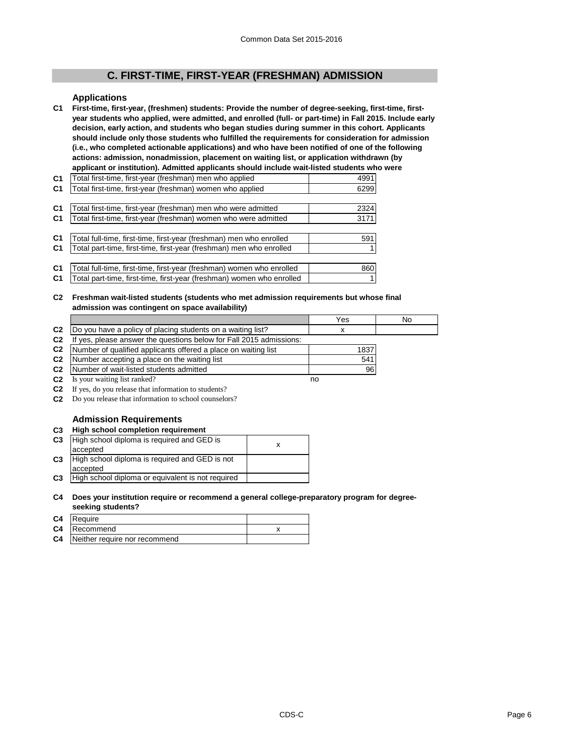# **C. FIRST-TIME, FIRST-YEAR (FRESHMAN) ADMISSION**

## **Applications**

**C1 First-time, first-year, (freshmen) students: Provide the number of degree-seeking, first-time, firstyear students who applied, were admitted, and enrolled (full- or part-time) in Fall 2015. Include early decision, early action, and students who began studies during summer in this cohort. Applicants should include only those students who fulfilled the requirements for consideration for admission (i.e., who completed actionable applications) and who have been notified of one of the following actions: admission, nonadmission, placement on waiting list, or application withdrawn (by applicant or institution). Admitted applicants should include wait-listed students who were** 

| C <sub>1</sub> | Total first-time, first-year (freshman) men who applied               | 4991 |
|----------------|-----------------------------------------------------------------------|------|
| C <sub>1</sub> | Total first-time, first-year (freshman) women who applied             | 6299 |
|                |                                                                       |      |
| C <sub>1</sub> | Total first-time, first-year (freshman) men who were admitted         | 2324 |
| C <sub>1</sub> | Total first-time, first-year (freshman) women who were admitted       | 3171 |
|                |                                                                       |      |
| C <sub>1</sub> | Total full-time, first-time, first-year (freshman) men who enrolled   | 591  |
| C <sub>1</sub> | Total part-time, first-time, first-year (freshman) men who enrolled   |      |
|                |                                                                       |      |
| C <sub>1</sub> | Total full-time, first-time, first-year (freshman) women who enrolled | 860  |
| C <sub>1</sub> | Total part-time, first-time, first-year (freshman) women who enrolled |      |
|                |                                                                       |      |

**C2 Freshman wait-listed students (students who met admission requirements but whose final admission was contingent on space availability)**

|                |                                                                     | Yes  | No |
|----------------|---------------------------------------------------------------------|------|----|
| C <sub>2</sub> | Do you have a policy of placing students on a waiting list?         | x    |    |
| C <sub>2</sub> | If yes, please answer the questions below for Fall 2015 admissions: |      |    |
| C <sub>2</sub> | Number of qualified applicants offered a place on waiting list      | 1837 |    |
| C <sub>2</sub> | Number accepting a place on the waiting list                        | 541  |    |
| C <sub>2</sub> | Number of wait-listed students admitted                             | 96   |    |
| C <sub>2</sub> | Is your waiting list ranked?                                        | no   |    |

**C2** If yes, do you release that information to students?

**C2** Do you release that information to school counselors?

## **Admission Requirements**

| C3 | <b>High school completion requirement</b> |  |
|----|-------------------------------------------|--|
|----|-------------------------------------------|--|

| C <sub>3</sub> | High school diploma is required and GED is        |  |
|----------------|---------------------------------------------------|--|
|                | accepted                                          |  |
| C <sub>3</sub> | High school diploma is required and GED is not    |  |
|                | accepted                                          |  |
| C <sub>3</sub> | High school diploma or equivalent is not required |  |
|                |                                                   |  |

#### **C4 Does your institution require or recommend a general college-preparatory program for degreeseeking students?**

| C4   Require                     |  |
|----------------------------------|--|
| C4 Recommend                     |  |
| C4 Neither require nor recommend |  |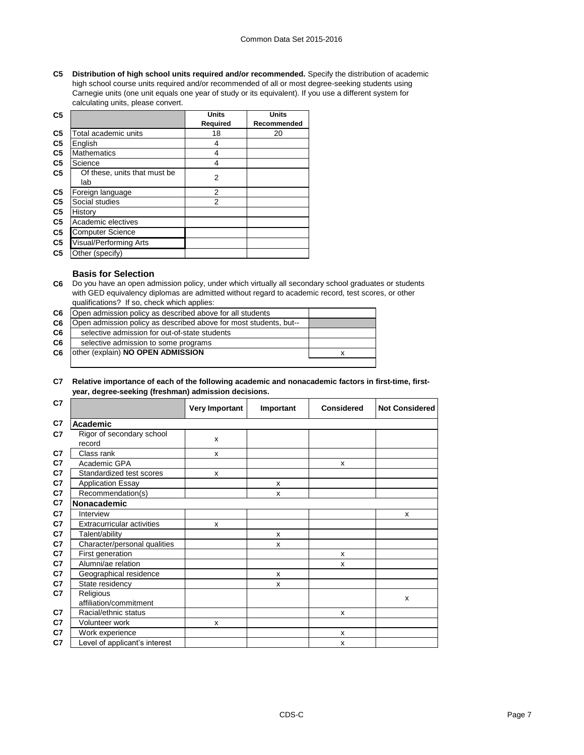#### Common Data Set 2015-2016

**C5 Distribution of high school units required and/or recommended.** Specify the distribution of academic high school course units required and/or recommended of all or most degree-seeking students using Carnegie units (one unit equals one year of study or its equivalent). If you use a different system for calculating units, please convert.

| C <sub>5</sub> |                                     | <b>Units</b>    | <b>Units</b> |
|----------------|-------------------------------------|-----------------|--------------|
|                |                                     | <b>Required</b> | Recommended  |
| C <sub>5</sub> | Total academic units                | 18              | 20           |
| C <sub>5</sub> | English                             | 4               |              |
| C <sub>5</sub> | <b>Mathematics</b>                  | 4               |              |
| C <sub>5</sub> | Science                             | 4               |              |
| C <sub>5</sub> | Of these, units that must be<br>lab | 2               |              |
| C <sub>5</sub> | Foreign language                    | $\overline{2}$  |              |
| C <sub>5</sub> | Social studies                      | $\overline{2}$  |              |
| C <sub>5</sub> | History                             |                 |              |
| C <sub>5</sub> | Academic electives                  |                 |              |
| C <sub>5</sub> | <b>Computer Science</b>             |                 |              |
| C <sub>5</sub> | Visual/Performing Arts              |                 |              |
| C <sub>5</sub> | Other (specify)                     |                 |              |

## **Basis for Selection**

**C6** Do you have an open admission policy, under which virtually all secondary school graduates or students with GED equivalency diplomas are admitted without regard to academic record, test scores, or other qualifications? If so, check which applies:

| C6             | Open admission policy as described above for all students         |  |
|----------------|-------------------------------------------------------------------|--|
| C6             | Open admission policy as described above for most students, but-- |  |
| C6             | selective admission for out-of-state students                     |  |
| C <sub>6</sub> | selective admission to some programs                              |  |
| C6             | other (explain) NO OPEN ADMISSION                                 |  |
|                |                                                                   |  |

**C7 Relative importance of each of the following academic and nonacademic factors in first-time, firstyear, degree-seeking (freshman) admission decisions.**

| C7 |                                     | <b>Very Important</b> | Important      | <b>Considered</b> | <b>Not Considered</b> |
|----|-------------------------------------|-----------------------|----------------|-------------------|-----------------------|
| C7 | <b>Academic</b>                     |                       |                |                   |                       |
| C7 | Rigor of secondary school<br>record | X                     |                |                   |                       |
| C7 | Class rank                          | X                     |                |                   |                       |
| C7 | Academic GPA                        |                       |                | X                 |                       |
| C7 | Standardized test scores            | X                     |                |                   |                       |
| C7 | <b>Application Essay</b>            |                       | X              |                   |                       |
| C7 | Recommendation(s)                   |                       | X              |                   |                       |
| C7 | Nonacademic                         |                       |                |                   |                       |
| C7 | Interview                           |                       |                |                   | X                     |
| C7 | <b>Extracurricular activities</b>   | $\mathsf{x}$          |                |                   |                       |
| C7 | Talent/ability                      |                       | X              |                   |                       |
| C7 | Character/personal qualities        |                       | $\pmb{\times}$ |                   |                       |
| C7 | First generation                    |                       |                | X                 |                       |
| C7 | Alumni/ae relation                  |                       |                | X                 |                       |
| C7 | Geographical residence              |                       | X              |                   |                       |
| C7 | State residency                     |                       | X              |                   |                       |
| C7 | Religious<br>affiliation/commitment |                       |                |                   | X                     |
| C7 | Racial/ethnic status                |                       |                | x                 |                       |
| C7 | Volunteer work                      | X                     |                |                   |                       |
| C7 | Work experience                     |                       |                | X                 |                       |
| C7 | Level of applicant's interest       |                       |                | X                 |                       |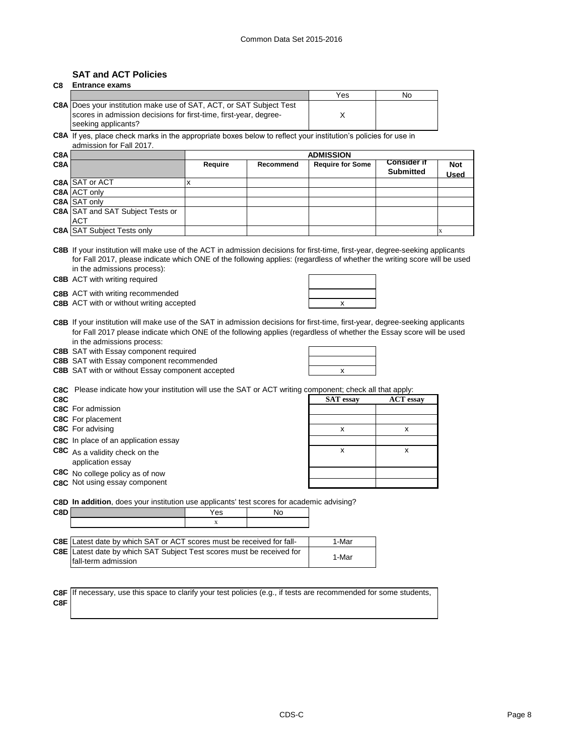## **SAT and ACT Policies**

## **C8 Entrance exams**

|     |                                                                                                                                                                                                                                                                                                                                                                                                                              |         |           | Yes                     | No                 |             |
|-----|------------------------------------------------------------------------------------------------------------------------------------------------------------------------------------------------------------------------------------------------------------------------------------------------------------------------------------------------------------------------------------------------------------------------------|---------|-----------|-------------------------|--------------------|-------------|
|     | <b>C8A</b> Does your institution make use of SAT, ACT, or SAT Subject Test<br>scores in admission decisions for first-time, first-year, degree-<br>seeking applicants?                                                                                                                                                                                                                                                       |         |           | X                       |                    |             |
|     | C8A If yes, place check marks in the appropriate boxes below to reflect your institution's policies for use in<br>admission for Fall 2017.                                                                                                                                                                                                                                                                                   |         |           |                         |                    |             |
| C8A |                                                                                                                                                                                                                                                                                                                                                                                                                              |         |           | <b>ADMISSION</b>        |                    |             |
| C8A |                                                                                                                                                                                                                                                                                                                                                                                                                              | Require | Recommend | <b>Require for Some</b> | <b>Consider if</b> | <b>Not</b>  |
|     |                                                                                                                                                                                                                                                                                                                                                                                                                              |         |           |                         | <b>Submitted</b>   | <b>Used</b> |
|     | <b>C8A SAT or ACT</b>                                                                                                                                                                                                                                                                                                                                                                                                        | X       |           |                         |                    |             |
|     | <b>C8A ACT only</b>                                                                                                                                                                                                                                                                                                                                                                                                          |         |           |                         |                    |             |
|     | C8A SAT only                                                                                                                                                                                                                                                                                                                                                                                                                 |         |           |                         |                    |             |
|     |                                                                                                                                                                                                                                                                                                                                                                                                                              |         |           |                         |                    |             |
|     | C8A SAT and SAT Subject Tests or<br><b>ACT</b>                                                                                                                                                                                                                                                                                                                                                                               |         |           |                         |                    |             |
|     | <b>C8A SAT Subject Tests only</b>                                                                                                                                                                                                                                                                                                                                                                                            |         |           |                         |                    | $\mathbf X$ |
|     | for Fall 2017, please indicate which ONE of the following applies: (regardless of whether the writing score will be used<br>in the admissions process):<br><b>C8B</b> ACT with writing required<br><b>C8B</b> ACT with writing recommended<br>C8B ACT with or without writing accepted                                                                                                                                       |         |           | х                       |                    |             |
|     | C8B If your institution will make use of the SAT in admission decisions for first-time, first-year, degree-seeking applicants<br>for Fall 2017 please indicate which ONE of the following applies (regardless of whether the Essay score will be used<br>in the admissions process:<br>C8B SAT with Essay component required<br>C8B SAT with Essay component recommended<br>C8B SAT with or without Essay component accepted |         |           | х                       |                    |             |
| C8C | <b>C8C</b> Please indicate how your institution will use the SAT or ACT writing component; check all that apply:                                                                                                                                                                                                                                                                                                             |         |           | <b>SAT</b> essay        | <b>ACT</b> essay   |             |
|     | <b>C8C</b> For admission                                                                                                                                                                                                                                                                                                                                                                                                     |         |           |                         |                    |             |
|     | <b>C8C</b> For placement                                                                                                                                                                                                                                                                                                                                                                                                     |         |           |                         |                    |             |
|     | <b>C8C</b> For advising                                                                                                                                                                                                                                                                                                                                                                                                      |         |           | X                       | X                  |             |
|     |                                                                                                                                                                                                                                                                                                                                                                                                                              |         |           |                         |                    |             |
|     | C8C In place of an application essay                                                                                                                                                                                                                                                                                                                                                                                         |         |           |                         |                    |             |
|     | C8C As a validity check on the<br>application essay                                                                                                                                                                                                                                                                                                                                                                          |         |           | X                       | X                  |             |
|     | C8C No college policy as of now                                                                                                                                                                                                                                                                                                                                                                                              |         |           |                         |                    |             |
|     | C8C Not using essay component                                                                                                                                                                                                                                                                                                                                                                                                |         |           |                         |                    |             |
|     | C8D In addition, does your institution use applicants' test scores for academic advising?                                                                                                                                                                                                                                                                                                                                    |         |           |                         |                    |             |
| C8D |                                                                                                                                                                                                                                                                                                                                                                                                                              | Yes     | No        |                         |                    |             |
|     |                                                                                                                                                                                                                                                                                                                                                                                                                              | X       |           |                         |                    |             |
|     |                                                                                                                                                                                                                                                                                                                                                                                                                              |         |           |                         |                    |             |
|     | <b>C8E</b> Latest date by which SAT or ACT scores must be received for fall-                                                                                                                                                                                                                                                                                                                                                 |         |           | 1-Mar                   |                    |             |
|     | C8E Latest date by which SAT Subject Test scores must be received for                                                                                                                                                                                                                                                                                                                                                        |         |           |                         |                    |             |
|     | fall-term admission                                                                                                                                                                                                                                                                                                                                                                                                          |         |           | 1-Mar                   |                    |             |
|     |                                                                                                                                                                                                                                                                                                                                                                                                                              |         |           |                         |                    |             |
|     |                                                                                                                                                                                                                                                                                                                                                                                                                              |         |           |                         |                    |             |
| C8F | C8F If necessary, use this space to clarify your test policies (e.g., if tests are recommended for some students,                                                                                                                                                                                                                                                                                                            |         |           |                         |                    |             |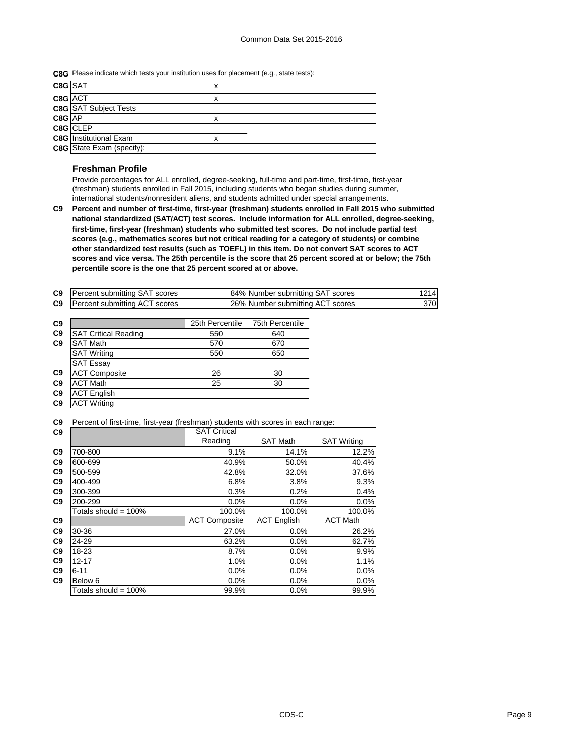**C8G** Please indicate which tests your institution uses for placement (e.g., state tests):

| $C8G$ SAT |                                  |  |  |
|-----------|----------------------------------|--|--|
| C8G ACT   |                                  |  |  |
|           | <b>C8G</b> SAT Subject Tests     |  |  |
| C8G AP    |                                  |  |  |
|           | C8G CLEP                         |  |  |
|           | <b>C8G</b> Institutional Exam    |  |  |
|           | <b>C8G</b> State Exam (specify): |  |  |

## **Freshman Profile**

**C9** ACT Writing

Provide percentages for ALL enrolled, degree-seeking, full-time and part-time, first-time, first-year (freshman) students enrolled in Fall 2015, including students who began studies during summer, international students/nonresident aliens, and students admitted under special arrangements.

**C9 Percent and number of first-time, first-year (freshman) students enrolled in Fall 2015 who submitted national standardized (SAT/ACT) test scores. Include information for ALL enrolled, degree-seeking, first-time, first-year (freshman) students who submitted test scores. Do not include partial test scores (e.g., mathematics scores but not critical reading for a category of students) or combine other standardized test results (such as TOEFL) in this item. Do not convert SAT scores to ACT scores and vice versa. The 25th percentile is the score that 25 percent scored at or below; the 75th percentile score is the one that 25 percent scored at or above.**

| C9             | Percent submitting SAT scores |                 | 84% Number submitting SAT scores | 1214 |
|----------------|-------------------------------|-----------------|----------------------------------|------|
| C9             | Percent submitting ACT scores |                 | 26% Number submitting ACT scores | 370  |
|                |                               |                 |                                  |      |
| C <sub>9</sub> |                               | 25th Percentile | 75th Percentile                  |      |
| C <sub>9</sub> | <b>SAT Critical Reading</b>   | 550             | 640                              |      |
| C9             | <b>SAT Math</b>               | 570             | 670                              |      |
|                | <b>SAT Writing</b>            | 550             | 650                              |      |
|                | <b>SAT Essay</b>              |                 |                                  |      |
| C <sub>9</sub> | <b>ACT Composite</b>          | 26              | 30                               |      |
| C9             | <b>ACT Math</b>               | 25              | 30                               |      |
| C <sub>9</sub> | <b>ACT English</b>            |                 |                                  |      |

**C9** Percent of first-time, first-year (freshman) students with scores in each range:

| C9             |                      | <b>SAT Critical</b>  |                    |                    |
|----------------|----------------------|----------------------|--------------------|--------------------|
|                |                      | Reading              | <b>SAT Math</b>    | <b>SAT Writing</b> |
| C <sub>9</sub> | 700-800              | 9.1%                 | 14.1%              | 12.2%              |
| C <sub>9</sub> | 600-699              | 40.9%                | 50.0%              | 40.4%              |
| C9             | 500-599              | 42.8%                | 32.0%              | 37.6%              |
| C9             | 400-499              | 6.8%                 | 3.8%               | 9.3%               |
| C9             | 300-399              | 0.3%                 | 0.2%               | 0.4%               |
| C <sub>9</sub> | 200-299              | 0.0%                 | 0.0%               | 0.0%               |
|                | Totals should = 100% | 100.0%               | 100.0%             | 100.0%             |
| C9             |                      | <b>ACT Composite</b> | <b>ACT English</b> | <b>ACT Math</b>    |
| C <sub>9</sub> | 30-36                | 27.0%                | 0.0%               | 26.2%              |
| C9             | 24-29                | 63.2%                | 0.0%               | 62.7%              |
| C9             | 18-23                | 8.7%                 | 0.0%               | 9.9%               |
| C9             | $12 - 17$            | 1.0%                 | 0.0%               | 1.1%               |
| C9             | $6 - 11$             | 0.0%                 | 0.0%               | 0.0%               |
| C9             | Below 6              | 0.0%                 | 0.0%               | 0.0%               |
|                | Totals should = 100% | 99.9%                | 0.0%               | 99.9%              |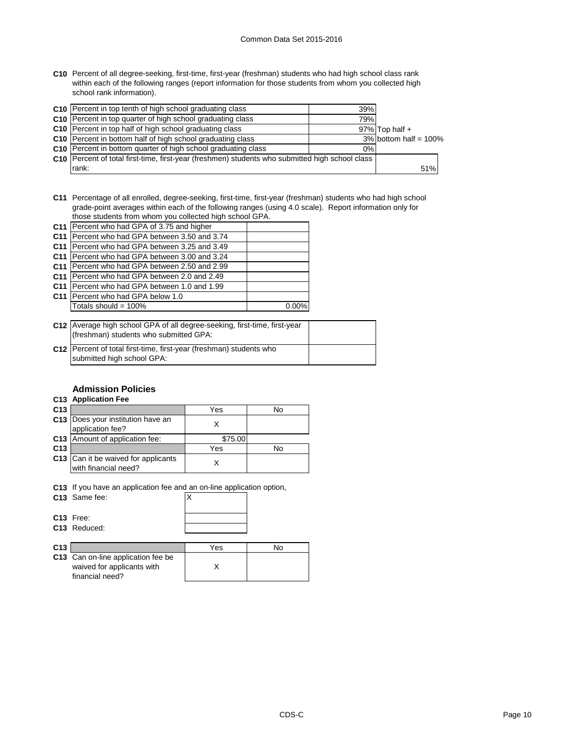**C10** Percent of all degree-seeking, first-time, first-year (freshman) students who had high school class rank within each of the following ranges (report information for those students from whom you collected high school rank information).

| C10 Percent in top tenth of high school graduating class                                               | 39%   |                          |
|--------------------------------------------------------------------------------------------------------|-------|--------------------------|
| C10 Percent in top quarter of high school graduating class                                             | 79%   |                          |
| C10 Percent in top half of high school graduating class                                                |       | $97\%$ Top half +        |
| C10 Percent in bottom half of high school graduating class                                             |       | $3\%$ bottom half = 100% |
| C10 Percent in bottom quarter of high school graduating class                                          | $0\%$ |                          |
| <b>C10</b> Percent of total first-time, first-year (freshmen) students who submitted high school class |       |                          |
| rank:                                                                                                  |       | 51%                      |

**C11** Percentage of all enrolled, degree-seeking, first-time, first-year (freshman) students who had high school grade-point averages within each of the following ranges (using 4.0 scale). Report information only for those students from whom you collected high school GPA.

|                 | C11   Percent who had GPA of 3.75 and higher    |       |
|-----------------|-------------------------------------------------|-------|
| C <sub>11</sub> | Percent who had GPA between 3.50 and 3.74       |       |
| C <sub>11</sub> | Percent who had GPA between 3.25 and 3.49       |       |
|                 | C11   Percent who had GPA between 3.00 and 3.24 |       |
|                 | C11   Percent who had GPA between 2.50 and 2.99 |       |
| C <sub>11</sub> | Percent who had GPA between 2.0 and 2.49        |       |
| C <sub>11</sub> | Percent who had GPA between 1.0 and 1.99        |       |
|                 | C11 Percent who had GPA below 1.0               |       |
|                 | Totals should = 100%                            | 0.00% |
|                 |                                                 |       |

| C12 Average high school GPA of all degree-seeking, first-time, first-year<br>(freshman) students who submitted GPA: |  |
|---------------------------------------------------------------------------------------------------------------------|--|
| C12   Percent of total first-time, first-year (freshman) students who<br>submitted high school GPA:                 |  |

## **Admission Policies**

## **C13 Application Fee**

| C <sub>13</sub> |                                                             | Yes     | No |
|-----------------|-------------------------------------------------------------|---------|----|
|                 | C13   Does your institution have an<br>application fee?     |         |    |
|                 | C13 Amount of application fee:                              | \$75.00 |    |
| C <sub>13</sub> |                                                             | Yes     | N٥ |
|                 | C13 Can it be waived for applicants<br>with financial need? |         |    |

**C13** If you have an application fee and an on-line application option,

**C13** Same fee: X

| C13 Free:    |  |
|--------------|--|
| C13 Reduced: |  |

| C <sub>13</sub> |                                                                                     | Yes | Nο |
|-----------------|-------------------------------------------------------------------------------------|-----|----|
|                 | C13 Can on-line application fee be<br>waived for applicants with<br>financial need? |     |    |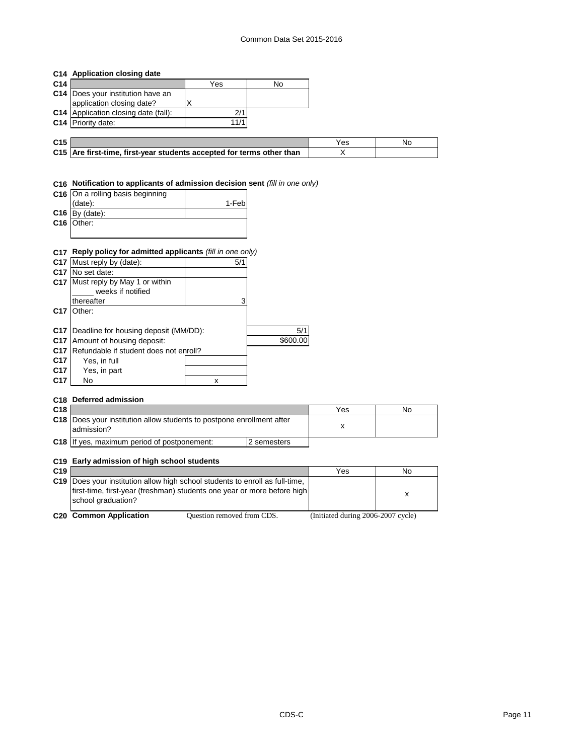## Common Data Set 2015-2016

## **C14 Application closing date**

| C14             |                                                                              | Yes   | No          |     |    |
|-----------------|------------------------------------------------------------------------------|-------|-------------|-----|----|
|                 | C14   Does your institution have an                                          |       |             |     |    |
|                 | application closing date?                                                    | X     |             |     |    |
|                 | C14 Application closing date (fall):                                         | 2/1   |             |     |    |
|                 | C14 Priority date:                                                           | 11/1  |             |     |    |
|                 |                                                                              |       |             |     |    |
| C <sub>15</sub> |                                                                              |       |             | Yes | No |
|                 | C15 Are first-time, first-year students accepted for terms other than        |       |             | X   |    |
|                 |                                                                              |       |             |     |    |
|                 |                                                                              |       |             |     |    |
|                 | C16 Notification to applicants of admission decision sent (fill in one only) |       |             |     |    |
|                 |                                                                              |       |             |     |    |
|                 | C16 On a rolling basis beginning                                             | 1-Feb |             |     |    |
|                 | (date):<br>$C16$ By (date):                                                  |       |             |     |    |
|                 |                                                                              |       |             |     |    |
| C16             | Other:                                                                       |       |             |     |    |
|                 |                                                                              |       |             |     |    |
|                 |                                                                              |       |             |     |    |
| C17             | Reply policy for admitted applicants (fill in one only)                      |       |             |     |    |
|                 | C17 Must reply by (date):                                                    | 5/1   |             |     |    |
|                 | C17 No set date:                                                             |       |             |     |    |
|                 | C17 Must reply by May 1 or within                                            |       |             |     |    |
|                 | weeks if notified                                                            |       |             |     |    |
|                 | thereafter                                                                   | 3     |             |     |    |
| C <sub>17</sub> | Other:                                                                       |       |             |     |    |
|                 |                                                                              |       |             |     |    |
|                 | C17   Deadline for housing deposit (MM/DD):                                  |       | 5/1         |     |    |
| C17             | Amount of housing deposit:                                                   |       | \$600.00    |     |    |
| C <sub>17</sub> | Refundable if student does not enroll?                                       |       |             |     |    |
| C17             | Yes, in full                                                                 |       |             |     |    |
| C <sub>17</sub> | Yes, in part                                                                 |       |             |     |    |
| C <sub>17</sub> | No                                                                           | X     |             |     |    |
|                 |                                                                              |       |             |     |    |
|                 | C18 Deferred admission                                                       |       |             |     |    |
| C18             |                                                                              |       |             | Yes | No |
|                 | <b>C18</b> Does your institution allow students to postpone enrollment after |       |             | x   |    |
|                 | admission?                                                                   |       |             |     |    |
|                 | C18 If yes, maximum period of postponement:                                  |       | 2 semesters |     |    |
|                 |                                                                              |       |             |     |    |
|                 | C19 Early admission of high school students                                  |       |             |     |    |
| C <sub>19</sub> |                                                                              |       |             | Yes | No |
|                 | C19 Does your institution allow high school students to enroll as full-time, |       |             |     |    |
|                 | first-time, first-year (freshman) students one year or more before high      |       |             |     | X  |
|                 | school graduation?                                                           |       |             |     |    |

**C20 Common Application** Question removed from CDS. (Initiated during 2006-2007 cycle) Question removed from CDS.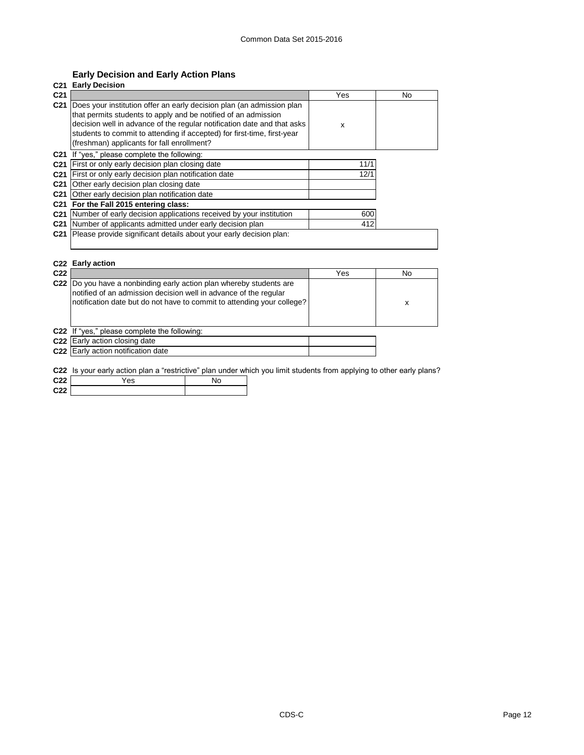## **Early Decision and Early Action Plans**

#### **C21 Early Decision**

| C <sub>21</sub> |                                                                         | Yes  | <b>No</b>      |
|-----------------|-------------------------------------------------------------------------|------|----------------|
| C <sub>21</sub> | Does your institution offer an early decision plan (an admission plan   |      |                |
|                 | that permits students to apply and be notified of an admission          |      |                |
|                 | decision well in advance of the regular notification date and that asks | X    |                |
|                 | students to commit to attending if accepted) for first-time, first-year |      |                |
|                 | (freshman) applicants for fall enrollment?                              |      |                |
|                 | C21 If "yes," please complete the following:                            |      |                |
|                 | C21 First or only early decision plan closing date                      | 11/1 |                |
| C <sub>21</sub> | First or only early decision plan notification date                     | 12/1 |                |
| C <sub>21</sub> | Other early decision plan closing date                                  |      |                |
|                 | C21 Other early decision plan notification date                         |      |                |
| C <sub>21</sub> | For the Fall 2015 entering class:                                       |      |                |
| C <sub>21</sub> | Number of early decision applications received by your institution      | 600  |                |
| C <sub>21</sub> | Number of applicants admitted under early decision plan                 | 412  |                |
| C <sub>21</sub> | Please provide significant details about your early decision plan:      |      |                |
|                 |                                                                         |      |                |
|                 |                                                                         |      |                |
|                 | C22 Early action                                                        |      |                |
| <b>C22</b>      |                                                                         | Yes  | No             |
|                 | C22 Do you have a nonbinding early action plan whereby students are     |      |                |
|                 | notified of an admission decision well in advance of the regular        |      |                |
|                 | notification date but do not have to commit to attending your college?  |      | $\pmb{\times}$ |
|                 |                                                                         |      |                |
|                 |                                                                         |      |                |
| C <sub>22</sub> | If "yes," please complete the following:                                |      |                |
|                 | C22 Early action closing date                                           |      |                |
|                 | C22 Early action notification date                                      |      |                |

**C22** Is your early action plan a "restrictive" plan under which you limit students from applying to other early plans?

| C <sub>22</sub>        | 'es |  |
|------------------------|-----|--|
| C <sub>22</sub><br>◡▵▵ |     |  |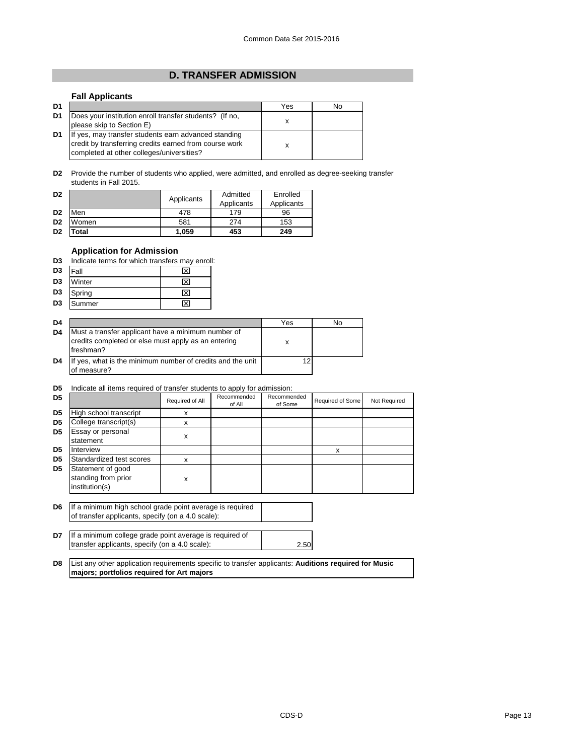# **D. TRANSFER ADMISSION**

# **Fall Applicants**

| D1             |                                                                                                                                                             | Yes | No |
|----------------|-------------------------------------------------------------------------------------------------------------------------------------------------------------|-----|----|
| D <sub>1</sub> | Does your institution enroll transfer students? (If no,<br>please skip to Section E)                                                                        | х   |    |
| D1             | If yes, may transfer students earn advanced standing<br>credit by transferring credits earned from course work<br>completed at other colleges/universities? | x   |    |

**D2** Provide the number of students who applied, were admitted, and enrolled as degree-seeking transfer students in Fall 2015.

| D <sub>2</sub> |       | Applicants | Admitted<br>Applicants | Enrolled<br>Applicants |
|----------------|-------|------------|------------------------|------------------------|
| D <sub>2</sub> | Men   | 478        | 179                    | 96                     |
| D <sub>2</sub> | Women | 581        | 274                    | 153                    |
| D <sub>2</sub> | 'otal | 1,059      | 453                    | 249                    |

## **Application for Admission**

**D3** Indicate terms for which transfers may enroll:

| D <sub>3</sub> | Fall   |  |
|----------------|--------|--|
| D <sub>3</sub> | Winter |  |
| D <sub>3</sub> | Spring |  |
| D <sub>3</sub> | Summer |  |

| D4 |                                                                                                                         | Yes | Nο |
|----|-------------------------------------------------------------------------------------------------------------------------|-----|----|
| D4 | Must a transfer applicant have a minimum number of<br>credits completed or else must apply as an entering<br>Ifreshman? | х   |    |
| D4 | If yes, what is the minimum number of credits and the unit<br>lof measure?                                              | 1つ  |    |

## **D5** Indicate all items required of transfer students to apply for admission:

| D <sub>5</sub> |                                                            | Required of All | Recommended<br>of All | Recommended<br>of Some | Required of Some | Not Required |
|----------------|------------------------------------------------------------|-----------------|-----------------------|------------------------|------------------|--------------|
| D <sub>5</sub> | High school transcript                                     | x               |                       |                        |                  |              |
| D <sub>5</sub> | College transcript(s)                                      | x               |                       |                        |                  |              |
| D <sub>5</sub> | Essay or personal<br>statement                             | x               |                       |                        |                  |              |
| D <sub>5</sub> | Interview                                                  |                 |                       |                        | x                |              |
| D <sub>5</sub> | Standardized test scores                                   | x               |                       |                        |                  |              |
| D <sub>5</sub> | Statement of good<br>standing from prior<br>institution(s) | x               |                       |                        |                  |              |
|                |                                                            |                 |                       |                        |                  |              |

| <b>D6</b> If a minimum high school grade point average is required<br>of transfer applicants, specify (on a 4.0 scale): |      |
|-------------------------------------------------------------------------------------------------------------------------|------|
| D7   If a minimum college grade point average is required of<br>transfer applicants, specify (on a 4.0 scale):          | 2.50 |

**D8** List any other application requirements specific to transfer applicants: **Auditions required for Music majors; portfolios required for Art majors**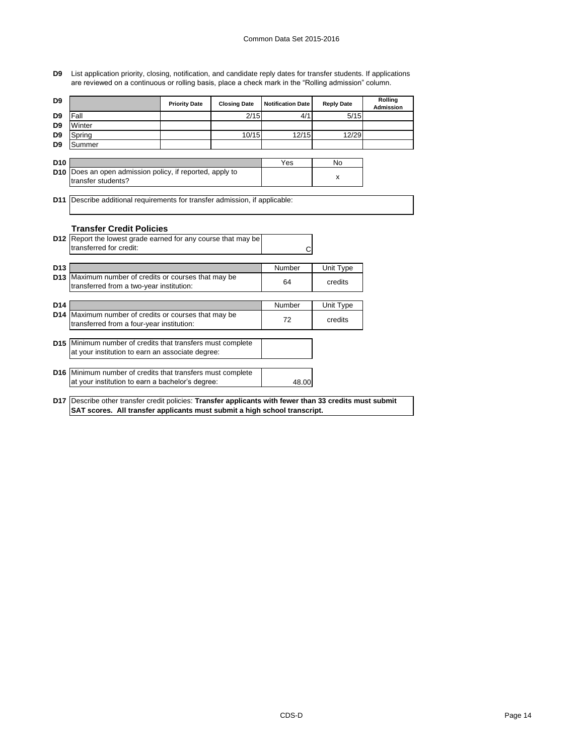**D9** List application priority, closing, notification, and candidate reply dates for transfer students. If applications are reviewed on a continuous or rolling basis, place a check mark in the "Rolling admission" column.

| D <sub>9</sub>  |                                                                                                     | <b>Priority Date</b> | <b>Closing Date</b> | <b>Notification Date</b> | <b>Reply Date</b> | Rolling<br><b>Admission</b> |
|-----------------|-----------------------------------------------------------------------------------------------------|----------------------|---------------------|--------------------------|-------------------|-----------------------------|
| D <sub>9</sub>  | Fall                                                                                                |                      | 2/15                | 4/1                      | 5/15              |                             |
| D <sub>9</sub>  | Winter                                                                                              |                      |                     |                          |                   |                             |
| D <sub>9</sub>  | Spring                                                                                              |                      | 10/15               | 12/15                    | 12/29             |                             |
| D <sub>9</sub>  | Summer                                                                                              |                      |                     |                          |                   |                             |
|                 |                                                                                                     |                      |                     |                          |                   |                             |
| <b>D10</b>      |                                                                                                     |                      |                     | Yes                      | <b>No</b>         |                             |
| <b>D10</b>      | Does an open admission policy, if reported, apply to                                                |                      |                     |                          | x                 |                             |
|                 | transfer students?                                                                                  |                      |                     |                          |                   |                             |
| D <sub>11</sub> | Describe additional requirements for transfer admission, if applicable:                             |                      |                     |                          |                   |                             |
|                 |                                                                                                     |                      |                     |                          |                   |                             |
|                 |                                                                                                     |                      |                     |                          |                   |                             |
|                 | <b>Transfer Credit Policies</b>                                                                     |                      |                     |                          |                   |                             |
|                 | D12 Report the lowest grade earned for any course that may be                                       |                      |                     |                          |                   |                             |
|                 | transferred for credit:                                                                             |                      |                     | С                        |                   |                             |
|                 |                                                                                                     |                      |                     |                          |                   |                             |
| <b>D13</b>      |                                                                                                     |                      |                     | Number                   | Unit Type         |                             |
|                 | D13 Maximum number of credits or courses that may be                                                |                      |                     |                          |                   |                             |
|                 | transferred from a two-year institution:                                                            |                      |                     | 64                       | credits           |                             |
|                 |                                                                                                     |                      |                     |                          |                   |                             |
| <b>D14</b>      |                                                                                                     |                      |                     | Number                   | Unit Type         |                             |
|                 | D14 Maximum number of credits or courses that may be                                                |                      |                     | 72                       | credits           |                             |
|                 | transferred from a four-year institution:                                                           |                      |                     |                          |                   |                             |
|                 |                                                                                                     |                      |                     |                          |                   |                             |
|                 | D15 Minimum number of credits that transfers must complete                                          |                      |                     |                          |                   |                             |
|                 | at your institution to earn an associate degree:                                                    |                      |                     |                          |                   |                             |
|                 |                                                                                                     |                      |                     |                          |                   |                             |
|                 | D16 Minimum number of credits that transfers must complete                                          |                      |                     |                          |                   |                             |
|                 | at your institution to earn a bachelor's degree:                                                    |                      |                     | 48.00                    |                   |                             |
|                 |                                                                                                     |                      |                     |                          |                   |                             |
| D <sub>17</sub> | Describe other transfer credit policies: Transfer applicants with fewer than 33 credits must submit |                      |                     |                          |                   |                             |
|                 | SAT scores. All transfer applicants must submit a high school transcript.                           |                      |                     |                          |                   |                             |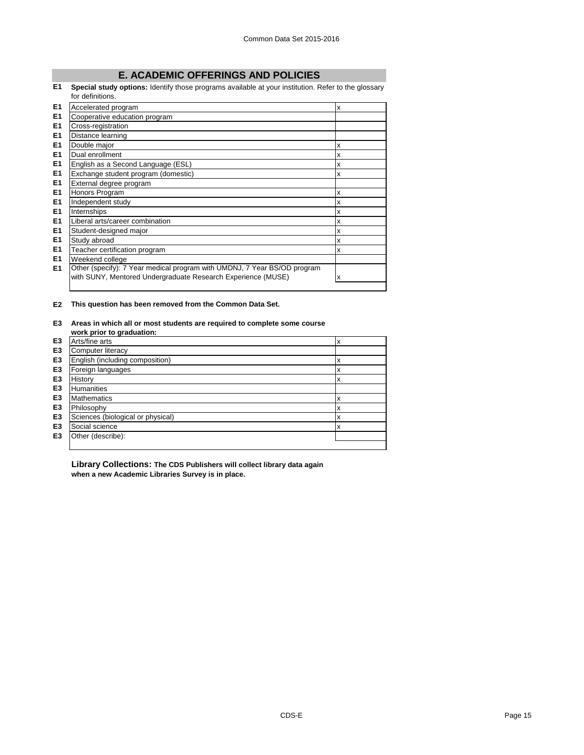# **E. ACADEMIC OFFERINGS AND POLICIES**

**E1 Special study options:** Identify those programs available at your institution. Refer to the glossary for definitions.

|                | טו שטווווווטווט.                                                         |   |
|----------------|--------------------------------------------------------------------------|---|
| E1             | Accelerated program                                                      | X |
| E1             | Cooperative education program                                            |   |
| E1             | Cross-registration                                                       |   |
| E <sub>1</sub> | Distance learning                                                        |   |
| E1             | Double major                                                             | X |
| E1             | Dual enrollment                                                          | X |
| E <sub>1</sub> | English as a Second Language (ESL)                                       | X |
| E <sub>1</sub> | Exchange student program (domestic)                                      | X |
| E1             | External degree program                                                  |   |
| E1             | Honors Program                                                           | X |
| E1             | Independent study                                                        | X |
| E <sub>1</sub> | Internships                                                              | X |
| E <sub>1</sub> | Liberal arts/career combination                                          | X |
| E <sub>1</sub> | Student-designed major                                                   | X |
| E <sub>1</sub> | Study abroad                                                             | X |
| E1             | Teacher certification program                                            | X |
| E1             | Weekend college                                                          |   |
| E1             | Other (specify): 7 Year medical program with UMDNJ, 7 Year BS/OD program |   |
|                | with SUNY, Mentored Undergraduate Research Experience (MUSE)             | X |
|                |                                                                          |   |

#### **E2 This question has been removed from the Common Data Set.**

#### **E3 Areas in which all or most students are required to complete some course work prior to graduation:**

|                | $\frac{1}{2}$                     |   |
|----------------|-----------------------------------|---|
| E <sub>3</sub> | Arts/fine arts                    | х |
| E <sub>3</sub> | Computer literacy                 |   |
| E <sub>3</sub> | English (including composition)   | x |
| E <sub>3</sub> | Foreign languages                 | х |
| E <sub>3</sub> | <b>History</b>                    | х |
| E <sub>3</sub> | <b>Humanities</b>                 |   |
| E <sub>3</sub> | <b>Mathematics</b>                | х |
| E <sub>3</sub> | Philosophy                        | х |
| E <sub>3</sub> | Sciences (biological or physical) | x |
| E <sub>3</sub> | Social science                    | х |
| E <sub>3</sub> | Other (describe):                 |   |
|                |                                   |   |

**Library Collections: The CDS Publishers will collect library data again when a new Academic Libraries Survey is in place.**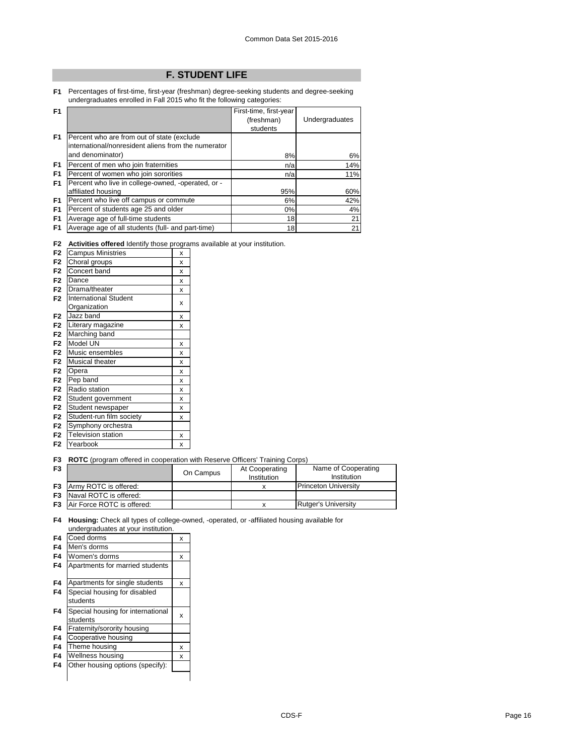# **F. STUDENT LIFE**

**F1** Percentages of first-time, first-year (freshman) degree-seeking students and degree-seeking undergraduates enrolled in Fall 2015 who fit the following categories:

| F <sub>1</sub> |                                                     | First-time, first-year |                |
|----------------|-----------------------------------------------------|------------------------|----------------|
|                |                                                     | (freshman)             | Undergraduates |
|                |                                                     | students               |                |
| F <sub>1</sub> | Percent who are from out of state (exclude          |                        |                |
|                | international/nonresident aliens from the numerator |                        |                |
|                | and denominator)                                    | 8%                     | 6%             |
| F <sub>1</sub> | Percent of men who join fraternities                | n/a                    | 14%            |
| F <sub>1</sub> | Percent of women who join sororities                | n/a                    | 11%            |
| F <sub>1</sub> | Percent who live in college-owned, -operated, or -  |                        |                |
|                | affiliated housing                                  | 95%                    | 60%            |
| F <sub>1</sub> | Percent who live off campus or commute              | 6%                     | 42%            |
| F <sub>1</sub> | Percent of students age 25 and older                | 0%                     | 4%             |
| F <sub>1</sub> | Average age of full-time students                   | 18                     | 21             |
| F <sub>1</sub> | Average age of all students (full- and part-time)   | 18                     | 21             |

**F2 Activities offered** Identify those programs available at your institution.

|                |                              | ישיי |
|----------------|------------------------------|------|
| F <sub>2</sub> | <b>Campus Ministries</b>     | X    |
| F <sub>2</sub> | Choral groups                | x    |
| F <sub>2</sub> | Concert band                 | X    |
| F <sub>2</sub> | Dance                        | x    |
| F <sub>2</sub> | Drama/theater                | x    |
| F <sub>2</sub> | <b>International Student</b> |      |
|                | Organization                 | x    |
| F <sub>2</sub> | Jazz band                    | x    |
| F <sub>2</sub> | Literary magazine            | x    |
| F <sub>2</sub> | Marching band                |      |
| F <sub>2</sub> | Model UN                     | x    |
| F <sub>2</sub> | Music ensembles              | x    |
| F <sub>2</sub> | Musical theater              | x    |
| F <sub>2</sub> | Opera                        | x    |
| F <sub>2</sub> | Pep band                     | X    |
| F <sub>2</sub> | Radio station                | X    |
| F <sub>2</sub> | Student government           | x    |
| F <sub>2</sub> | Student newspaper            | X    |
| F <sub>2</sub> | Student-run film society     | x    |
| F <sub>2</sub> | Symphony orchestra           |      |
| F <sub>2</sub> | <b>Television station</b>    | x    |
| F <sub>2</sub> | Yearbook                     | x    |
|                |                              |      |

**F3 ROTC** (program offered in cooperation with Reserve Officers' Training Corps)

| F <sub>3</sub> |                                      | On Campus | At Cooperating<br>Institution | Name of Cooperating<br>Institution |
|----------------|--------------------------------------|-----------|-------------------------------|------------------------------------|
|                | <b>F3</b> Army ROTC is offered:      |           |                               | <b>Princeton University</b>        |
|                | <b>F3</b> Naval ROTC is offered:     |           |                               |                                    |
|                | <b>F3</b> Air Force ROTC is offered: |           |                               | <b>Rutger's University</b>         |

#### **F4 Housing:** Check all types of college-owned, -operated, or -affiliated housing available for undergraduates at your institution.

|    | anacigraduates at your motitution. |   |
|----|------------------------------------|---|
| F4 | Coed dorms                         | X |
| F4 | Men's dorms                        |   |
| F4 | Women's dorms                      | x |
| F4 | Apartments for married students    |   |
| F4 | Apartments for single students     | x |
| F4 | Special housing for disabled       |   |
|    | students                           |   |
| F4 | Special housing for international  | x |
|    | students                           |   |
| F4 | Fraternity/sorority housing        |   |
| F4 | Cooperative housing                |   |
| F4 | Theme housing                      | x |
| F4 | Wellness housing                   | x |
| F4 | Other housing options (specify):   |   |
|    |                                    |   |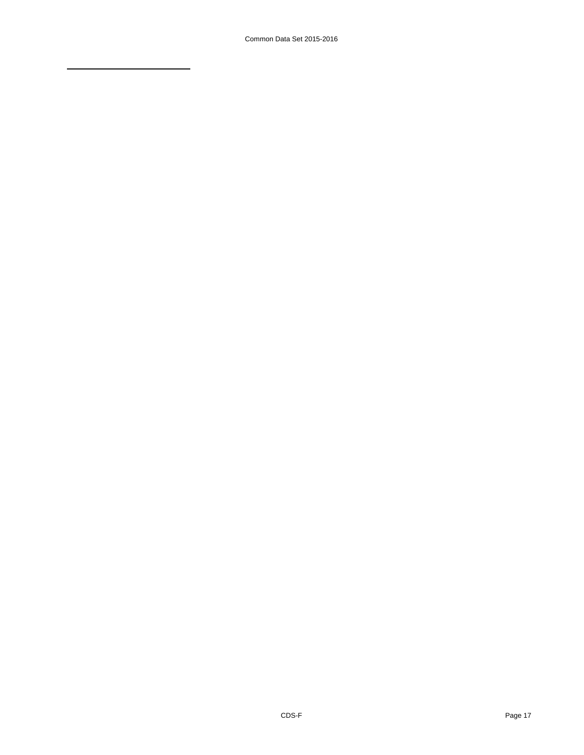Common Data Set 2015-2016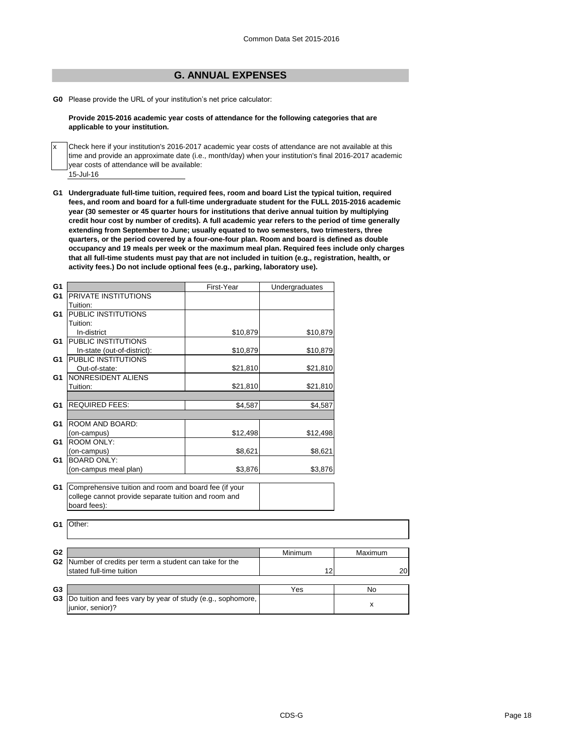# **G. ANNUAL EXPENSES**

**G0** Please provide the URL of your institution's net price calculator:

x

**Provide 2015-2016 academic year costs of attendance for the following categories that are applicable to your institution.**

15-Jul-16 Check here if your institution's 2016-2017 academic year costs of attendance are not available at this time and provide an approximate date (i.e., month/day) when your institution's final 2016-2017 academic year costs of attendance will be available:

**G1 Undergraduate full-time tuition, required fees, room and board List the typical tuition, required fees, and room and board for a full-time undergraduate student for the FULL 2015-2016 academic year (30 semester or 45 quarter hours for institutions that derive annual tuition by multiplying credit hour cost by number of credits). A full academic year refers to the period of time generally extending from September to June; usually equated to two semesters, two trimesters, three quarters, or the period covered by a four-one-four plan. Room and board is defined as double occupancy and 19 meals per week or the maximum meal plan. Required fees include only charges that all full-time students must pay that are not included in tuition (e.g., registration, health, or activity fees.) Do not include optional fees (e.g., parking, laboratory use).**

| G <sub>1</sub> |                                                             | First-Year | Undergraduates |                    |    |
|----------------|-------------------------------------------------------------|------------|----------------|--------------------|----|
| G <sub>1</sub> | PRIVATE INSTITUTIONS                                        |            |                |                    |    |
|                | Tuition:                                                    |            |                |                    |    |
| G <sub>1</sub> | <b>PUBLIC INSTITUTIONS</b>                                  |            |                |                    |    |
|                | Tuition:                                                    |            |                |                    |    |
|                | In-district                                                 | \$10,879   | \$10,879       |                    |    |
| G <sub>1</sub> | PUBLIC INSTITUTIONS                                         |            |                |                    |    |
|                | In-state (out-of-district):                                 | \$10,879   | \$10,879       |                    |    |
| G <sub>1</sub> | PUBLIC INSTITUTIONS                                         |            |                |                    |    |
|                | Out-of-state:                                               | \$21,810   | \$21,810       |                    |    |
| G <sub>1</sub> | NONRESIDENT ALIENS                                          |            |                |                    |    |
|                | Tuition:                                                    | \$21,810   | \$21,810       |                    |    |
|                |                                                             |            |                |                    |    |
| G <sub>1</sub> | <b>REQUIRED FEES:</b>                                       | \$4,587    | \$4,587        |                    |    |
|                |                                                             |            |                |                    |    |
| G <sub>1</sub> | ROOM AND BOARD:                                             |            |                |                    |    |
|                | (on-campus)                                                 | \$12,498   | \$12,498       |                    |    |
| G <sub>1</sub> | <b>ROOM ONLY:</b>                                           |            |                |                    |    |
|                | (on-campus)                                                 | \$8,621    | \$8,621        |                    |    |
| G <sub>1</sub> | <b>BOARD ONLY:</b>                                          |            |                |                    |    |
|                | (on-campus meal plan)                                       | \$3,876    | \$3,876        |                    |    |
|                |                                                             |            |                |                    |    |
| G <sub>1</sub> | Comprehensive tuition and room and board fee (if your       |            |                |                    |    |
|                | college cannot provide separate tuition and room and        |            |                |                    |    |
|                | board fees):                                                |            |                |                    |    |
|                |                                                             |            |                |                    |    |
| G <sub>1</sub> | Other:                                                      |            |                |                    |    |
|                |                                                             |            |                |                    |    |
|                |                                                             |            |                |                    |    |
| G <sub>2</sub> |                                                             |            | Minimum        | Maximum            |    |
| G <sub>2</sub> | Number of credits per term a student can take for the       |            |                |                    |    |
|                | stated full-time tuition                                    |            | 12             |                    | 20 |
|                |                                                             |            |                |                    |    |
| G <sub>3</sub> |                                                             |            | Yes            | No                 |    |
| G3             | Do tuition and fees vary by year of study (e.g., sophomore, |            |                | $\pmb{\mathsf{x}}$ |    |
|                | junior, senior)?                                            |            |                |                    |    |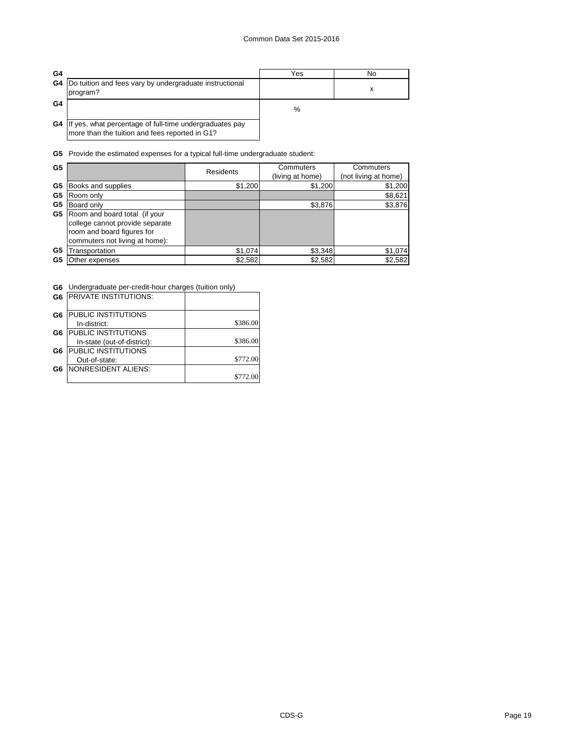| G4     |                                                                                | Yes | No |
|--------|--------------------------------------------------------------------------------|-----|----|
|        | <b>G4</b>  Do tuition and fees vary by undergraduate instructional<br>program? |     |    |
| G4     |                                                                                | ℅   |    |
| G4 Ilf | yes, what percentage of full-time undergraduates pay                           |     |    |

more than the tuition and fees reported in G1?

**G5** Provide the estimated expenses for a typical full-time undergraduate student:

| G <sub>5</sub> |                                                                                                                                  | <b>Residents</b> | Commuters<br>(living at home) | Commuters<br>(not living at home) |
|----------------|----------------------------------------------------------------------------------------------------------------------------------|------------------|-------------------------------|-----------------------------------|
| G <sub>5</sub> | Books and supplies                                                                                                               | \$1,200          | \$1,200                       | \$1,200                           |
| G <sub>5</sub> | Room only                                                                                                                        |                  |                               | \$8,621                           |
| G5             | Board only                                                                                                                       |                  | \$3,876                       | \$3,876                           |
| G5             | Room and board total (if your<br>college cannot provide separate<br>room and board figures for<br>commuters not living at home): |                  |                               |                                   |
| G <sub>5</sub> | <b>Transportation</b>                                                                                                            | \$1,074          | \$3,348                       | \$1,074                           |
| G5             | Other expenses                                                                                                                   | \$2,582          | \$2,582                       | \$2,582                           |

**G6** Undergraduate per-credit-hour charges (tuition only)

|    | <b>G6   PRIVATE INSTITUTIONS:</b> |          |
|----|-----------------------------------|----------|
| G6 | <b>PUBLIC INSTITUTIONS</b>        |          |
|    | In-district:                      | \$386.00 |
| G6 | <b>PUBLIC INSTITUTIONS</b>        |          |
|    | In-state (out-of-district):       | \$386.00 |
| G6 | <b>PUBLIC INSTITUTIONS</b>        |          |
|    | Out-of-state:                     | \$772.00 |
| G6 | <b>NONRESIDENT ALIENS:</b>        |          |
|    |                                   | )()      |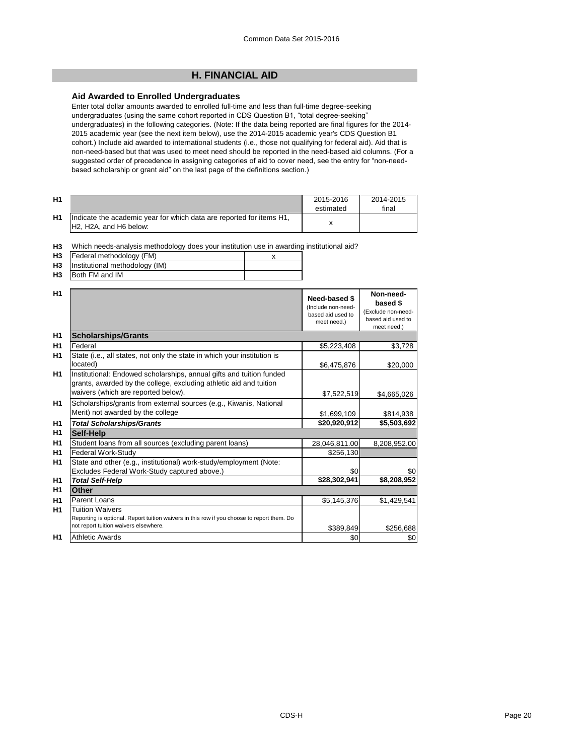# **H. FINANCIAL AID**

## **Aid Awarded to Enrolled Undergraduates**

Enter total dollar amounts awarded to enrolled full-time and less than full-time degree-seeking undergraduates (using the same cohort reported in CDS Question B1, "total degree-seeking" undergraduates) in the following categories. (Note: If the data being reported are final figures for the 2014- 2015 academic year (see the next item below), use the 2014-2015 academic year's CDS Question B1 cohort.) Include aid awarded to international students (i.e., those not qualifying for federal aid). Aid that is non-need-based but that was used to meet need should be reported in the need-based aid columns. (For a suggested order of precedence in assigning categories of aid to cover need, see the entry for "non-needbased scholarship or grant aid" on the last page of the definitions section.)

| <b>H1</b> |                                                                                                                                      | 2015-2016<br>estimated | 2014-2015<br>final |
|-----------|--------------------------------------------------------------------------------------------------------------------------------------|------------------------|--------------------|
| <b>H1</b> | Indicate the academic year for which data are reported for items H1,<br>H <sub>2</sub> , H <sub>2</sub> A, and H <sub>6</sub> below: |                        |                    |

**H3** Which needs-analysis methodology does your institution use in awarding institutional aid?

| <b>H3</b> | Federal methodology (FM)            |  |
|-----------|-------------------------------------|--|
|           | H3   Institutional methodology (IM) |  |
| <b>H3</b> | <b>Both FM and IM</b>               |  |

| H1             |                                                                                                                                                                                   | <b>Need-based \$</b><br>(Include non-need-<br>based aid used to<br>meet need.) | Non-need-<br>based \$<br>(Exclude non-need-<br>based aid used to<br>meet need.) |
|----------------|-----------------------------------------------------------------------------------------------------------------------------------------------------------------------------------|--------------------------------------------------------------------------------|---------------------------------------------------------------------------------|
| H <sub>1</sub> | <b>Scholarships/Grants</b>                                                                                                                                                        |                                                                                |                                                                                 |
| H <sub>1</sub> | Federal                                                                                                                                                                           | \$5,223,408                                                                    | \$3,728                                                                         |
| H1             | State (i.e., all states, not only the state in which your institution is<br>located)                                                                                              | \$6,475,876                                                                    | \$20,000                                                                        |
| H <sub>1</sub> | Institutional: Endowed scholarships, annual gifts and tuition funded<br>grants, awarded by the college, excluding athletic aid and tuition<br>waivers (which are reported below). | \$7,522,519                                                                    | \$4,665,026                                                                     |
| H <sub>1</sub> | Scholarships/grants from external sources (e.g., Kiwanis, National<br>Merit) not awarded by the college                                                                           | \$1,699,109                                                                    | \$814,938                                                                       |
| H <sub>1</sub> | <b>Total Scholarships/Grants</b>                                                                                                                                                  | \$20,920,912                                                                   | \$5,503,692                                                                     |
| H <sub>1</sub> | <b>Self-Help</b>                                                                                                                                                                  |                                                                                |                                                                                 |
| H1             | Student loans from all sources (excluding parent loans)                                                                                                                           | 28,046,811.00                                                                  | 8,208,952.00                                                                    |
| H <sub>1</sub> | Federal Work-Study                                                                                                                                                                | \$256,130                                                                      |                                                                                 |
| H <sub>1</sub> | State and other (e.g., institutional) work-study/employment (Note:                                                                                                                |                                                                                |                                                                                 |
|                | Excludes Federal Work-Study captured above.)                                                                                                                                      | \$0                                                                            | \$0                                                                             |
| H <sub>1</sub> | <b>Total Self-Help</b>                                                                                                                                                            | \$28,302,941                                                                   | \$8,208,952                                                                     |
| H1             | <b>Other</b>                                                                                                                                                                      |                                                                                |                                                                                 |
| H <sub>1</sub> | Parent Loans                                                                                                                                                                      | \$5,145,376                                                                    | \$1,429,541                                                                     |
| H <sub>1</sub> | <b>Tuition Waivers</b><br>Reporting is optional. Report tuition waivers in this row if you choose to report them. Do<br>not report tuition waivers elsewhere.                     | \$389,849                                                                      | \$256,688                                                                       |
| H1             | <b>Athletic Awards</b>                                                                                                                                                            | \$0                                                                            | \$0                                                                             |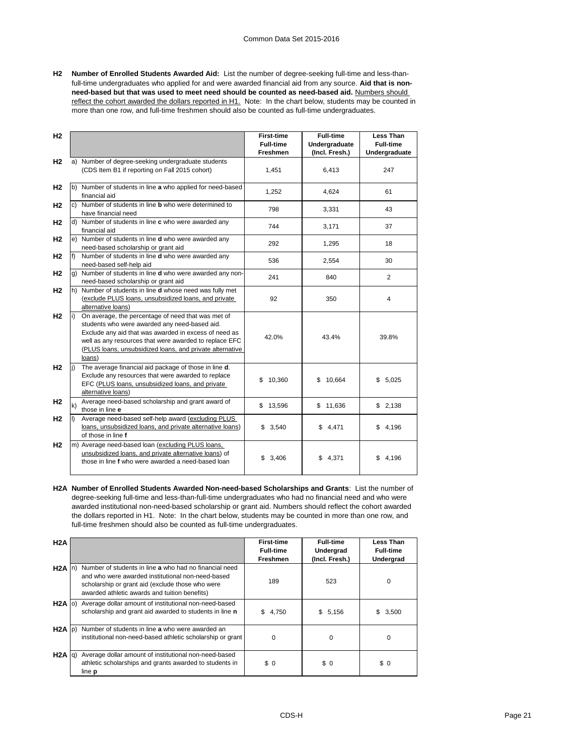**H2 Number of Enrolled Students Awarded Aid:** List the number of degree-seeking full-time and less-thanfull-time undergraduates who applied for and were awarded financial aid from any source. **Aid that is nonneed-based but that was used to meet need should be counted as need-based aid.** Numbers should reflect the cohort awarded the dollars reported in H1. Note: In the chart below, students may be counted in more than one row, and full-time freshmen should also be counted as full-time undergraduates.

| H <sub>2</sub> |       |                                                                                                                                                                                                                                                                                              | <b>First-time</b><br><b>Full-time</b><br>Freshmen | <b>Full-time</b><br>Undergraduate<br>(Incl. Fresh.) | <b>Less Than</b><br><b>Full-time</b><br>Undergraduate |
|----------------|-------|----------------------------------------------------------------------------------------------------------------------------------------------------------------------------------------------------------------------------------------------------------------------------------------------|---------------------------------------------------|-----------------------------------------------------|-------------------------------------------------------|
| H <sub>2</sub> |       | a) Number of degree-seeking undergraduate students<br>(CDS Item B1 if reporting on Fall 2015 cohort)                                                                                                                                                                                         | 1,451                                             | 6,413                                               | 247                                                   |
| H <sub>2</sub> |       | b) Number of students in line a who applied for need-based<br>financial aid                                                                                                                                                                                                                  | 1,252                                             | 4,624                                               | 61                                                    |
| H <sub>2</sub> |       | c) Number of students in line <b>b</b> who were determined to<br>have financial need                                                                                                                                                                                                         | 798                                               | 3,331                                               | 43                                                    |
| H <sub>2</sub> |       | d) Number of students in line c who were awarded any<br>financial aid                                                                                                                                                                                                                        | 744                                               | 3,171                                               | 37                                                    |
| H <sub>2</sub> |       | e) Number of students in line d who were awarded any<br>need-based scholarship or grant aid                                                                                                                                                                                                  | 292                                               | 1,295                                               | 18                                                    |
| H <sub>2</sub> | $f$ ) | Number of students in line d who were awarded any<br>need-based self-help aid                                                                                                                                                                                                                | 536                                               | 2,554                                               | 30                                                    |
| H <sub>2</sub> |       | g) Number of students in line d who were awarded any non-<br>need-based scholarship or grant aid                                                                                                                                                                                             | 241                                               | 840                                                 | $\overline{2}$                                        |
| H <sub>2</sub> |       | h) Number of students in line <b>d</b> whose need was fully met<br>(exclude PLUS loans, unsubsidized loans, and private<br>alternative loans)                                                                                                                                                | 92                                                | 350                                                 | 4                                                     |
| H <sub>2</sub> |       | On average, the percentage of need that was met of<br>students who were awarded any need-based aid.<br>Exclude any aid that was awarded in excess of need as<br>well as any resources that were awarded to replace EFC<br>(PLUS loans, unsubsidized loans, and private alternative<br>loans) | 42.0%                                             | 43.4%                                               | 39.8%                                                 |
| H <sub>2</sub> | li)   | The average financial aid package of those in line d.<br>Exclude any resources that were awarded to replace<br>EFC (PLUS loans, unsubsidized loans, and private<br>alternative loans)                                                                                                        | \$<br>10,360                                      | 10,664<br>\$                                        | \$<br>5,025                                           |
| H <sub>2</sub> | k)    | Average need-based scholarship and grant award of<br>those in line e                                                                                                                                                                                                                         | \$13,596                                          | \$11,636                                            | \$2,138                                               |
| H <sub>2</sub> |       | Average need-based self-help award (excluding PLUS<br>loans, unsubsidized loans, and private alternative loans)<br>of those in line f                                                                                                                                                        | \$<br>3,540                                       | \$<br>4,471                                         | \$<br>4,196                                           |
| H <sub>2</sub> |       | m) Average need-based loan (excluding PLUS loans,<br>unsubsidized loans, and private alternative loans) of<br>those in line f who were awarded a need-based loan                                                                                                                             | \$<br>3,406                                       | \$4,371                                             | \$4,196                                               |

**H2A Number of Enrolled Students Awarded Non-need-based Scholarships and Grants**: List the number of degree-seeking full-time and less-than-full-time undergraduates who had no financial need and who were awarded institutional non-need-based scholarship or grant aid. Numbers should reflect the cohort awarded the dollars reported in H1. Note: In the chart below, students may be counted in more than one row, and full-time freshmen should also be counted as full-time undergraduates.

| H2A               |                                                                                                                                                                                                                  | <b>First-time</b><br><b>Full-time</b><br><b>Freshmen</b> | <b>Full-time</b><br>Undergrad<br>(Incl. Fresh.) | <b>Less Than</b><br><b>Full-time</b><br><b>Undergrad</b> |
|-------------------|------------------------------------------------------------------------------------------------------------------------------------------------------------------------------------------------------------------|----------------------------------------------------------|-------------------------------------------------|----------------------------------------------------------|
| H <sub>2</sub> A  | Number of students in line a who had no financial need<br>and who were awarded institutional non-need-based<br>scholarship or grant aid (exclude those who were<br>awarded athletic awards and tuition benefits) | 189                                                      | 523                                             | $\Omega$                                                 |
| $H2A$ (o)         | Average dollar amount of institutional non-need-based<br>scholarship and grant aid awarded to students in line n                                                                                                 | \$<br>4,750                                              | \$5,156                                         | 3,500<br>S.                                              |
| $H2A$ $ p\rangle$ | Number of students in line a who were awarded an<br>institutional non-need-based athletic scholarship or grant                                                                                                   | 0                                                        | 0                                               | $\Omega$                                                 |
| H2A               | Average dollar amount of institutional non-need-based<br>a)<br>athletic scholarships and grants awarded to students in<br>line <b>p</b>                                                                          | \$0                                                      | \$0                                             | \$0                                                      |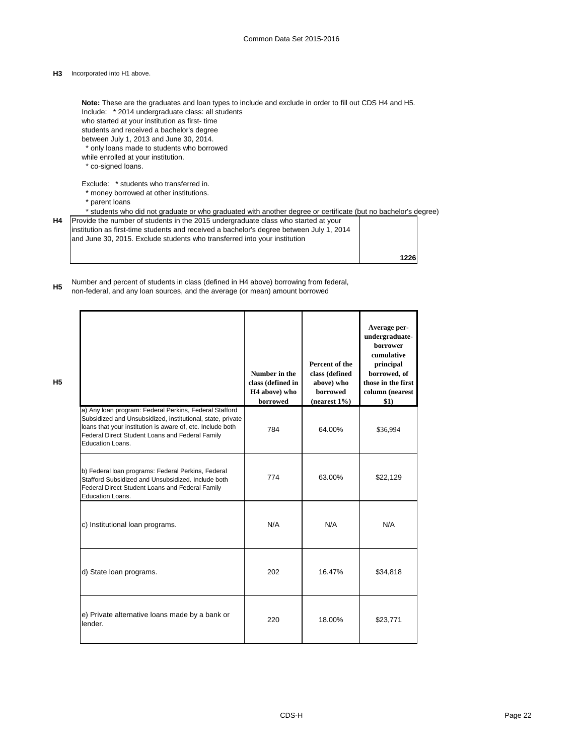#### **H3** Incorporated into H1 above.

Include: \* 2014 undergraduate class: all students who started at your institution as first- time students and received a bachelor's degree between July 1, 2013 and June 30, 2014. \* only loans made to students who borrowed while enrolled at your institution. \* co-signed loans. Exclude: \* students who transferred in. \* money borrowed at other institutions. \* parent loans **Note:** These are the graduates and loan types to include and exclude in order to fill out CDS H4 and H5.

\* students who did not graduate or who graduated with another degree or certificate (but no bachelor's degree)

| H4 | Provide the number of students in the 2015 undergraduate class who started at your<br>institution as first-time students and received a bachelor's degree between July 1, 2014<br>and June 30, 2015. Exclude students who transferred into your institution |      |
|----|-------------------------------------------------------------------------------------------------------------------------------------------------------------------------------------------------------------------------------------------------------------|------|
|    |                                                                                                                                                                                                                                                             | 1226 |

**H5** Number and percent of students in class (defined in H4 above) borrowing from federal, non-federal, and any loan sources, and the average (or mean) amount borrowed

|                                                                                                                                                                                                                                                           | Number in the<br>class (defined in<br>H <sub>4</sub> above) who<br>borrowed | Percent of the<br>class (defined<br>above) who<br>borrowed<br>(nearest $1\%$ ) | Average per-<br>undergraduate-<br>borrower<br>cumulative<br>principal<br>borrowed, of<br>those in the first<br>column (nearest<br>\$1) |
|-----------------------------------------------------------------------------------------------------------------------------------------------------------------------------------------------------------------------------------------------------------|-----------------------------------------------------------------------------|--------------------------------------------------------------------------------|----------------------------------------------------------------------------------------------------------------------------------------|
| a) Any loan program: Federal Perkins, Federal Stafford<br>Subsidized and Unsubsidized, institutional, state, private<br>loans that your institution is aware of, etc. Include both<br>Federal Direct Student Loans and Federal Family<br>Education Loans. | 784                                                                         | 64.00%                                                                         | \$36,994                                                                                                                               |
| b) Federal loan programs: Federal Perkins, Federal<br>Stafford Subsidized and Unsubsidized. Include both<br>Federal Direct Student Loans and Federal Family<br>Education Loans.                                                                           | 774                                                                         | 63.00%                                                                         | \$22,129                                                                                                                               |
| c) Institutional loan programs.                                                                                                                                                                                                                           | N/A                                                                         | N/A                                                                            | N/A                                                                                                                                    |
| d) State loan programs.                                                                                                                                                                                                                                   | 202                                                                         | 16.47%                                                                         | \$34,818                                                                                                                               |
| e) Private alternative loans made by a bank or<br>lender.                                                                                                                                                                                                 | 220                                                                         | 18.00%                                                                         | \$23,771                                                                                                                               |

**H5**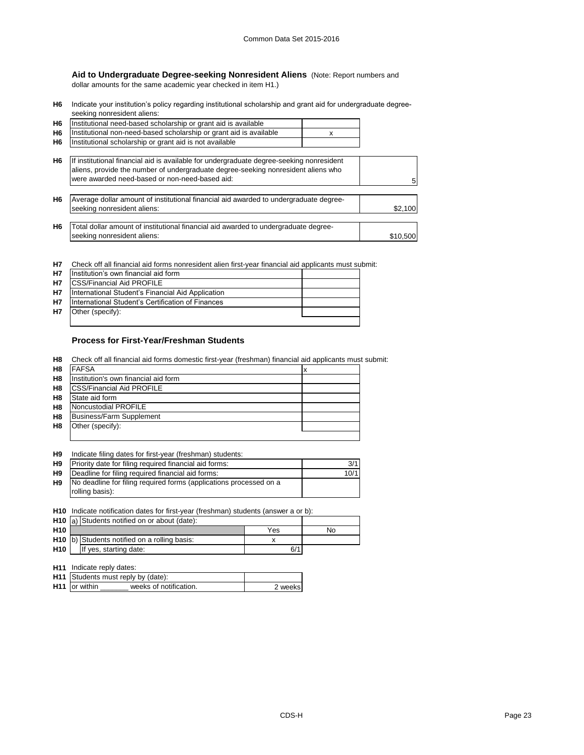**Aid to Undergraduate Degree-seeking Nonresident Aliens** (Note: Report numbers and dollar amounts for the same academic year checked in item H1.)

**H6** Indicate your institution's policy regarding institutional scholarship and grant aid for undergraduate degreeseeking nonresident aliens:

| H <sub>6</sub> | Institutional need-based scholarship or grant aid is available                                                                                                                                                                  |   |          |
|----------------|---------------------------------------------------------------------------------------------------------------------------------------------------------------------------------------------------------------------------------|---|----------|
| H <sub>6</sub> | Institutional non-need-based scholarship or grant aid is available                                                                                                                                                              | x |          |
| H <sub>6</sub> | Institutional scholarship or grant aid is not available                                                                                                                                                                         |   |          |
| H <sub>6</sub> | If institutional financial aid is available for undergraduate degree-seeking nonresident<br>aliens, provide the number of undergraduate degree-seeking nonresident aliens who<br>were awarded need-based or non-need-based aid: |   | 5        |
| H <sub>6</sub> | Average dollar amount of institutional financial aid awarded to undergraduate degree-<br>seeking nonresident aliens:                                                                                                            |   | \$2.100  |
| H <sub>6</sub> | Total dollar amount of institutional financial aid awarded to undergraduate degree-<br>seeking nonresident aliens:                                                                                                              |   | \$10,500 |

**H7** Check off all financial aid forms nonresident alien first-year financial aid applicants must submit:

|           | H7   Institution's own financial aid form         |  |
|-----------|---------------------------------------------------|--|
| <b>H7</b> | <b>CSS/Financial Aid PROFILE</b>                  |  |
| <b>H7</b> | International Student's Financial Aid Application |  |
| <b>H7</b> | International Student's Certification of Finances |  |
| <b>H7</b> | Other (specify):                                  |  |
|           |                                                   |  |

## **Process for First-Year/Freshman Students**

**H8** Check off all financial aid forms domestic first-year (freshman) financial aid applicants must submit:

| H <sub>8</sub> | <b>FAFSA</b>                         | x |
|----------------|--------------------------------------|---|
| H <sub>8</sub> | Institution's own financial aid form |   |
| H <sub>8</sub> | <b>CSS/Financial Aid PROFILE</b>     |   |
| H <sub>8</sub> | State aid form                       |   |
| H <sub>8</sub> | Noncustodial PROFILE                 |   |
| H <sub>8</sub> | <b>Business/Farm Supplement</b>      |   |
| H <sub>8</sub> | Other (specify):                     |   |
|                |                                      |   |

| H <sub>9</sub> | Indicate filing dates for first-year (freshman) students:          |      |
|----------------|--------------------------------------------------------------------|------|
| H <sub>9</sub> | Priority date for filing required financial aid forms:             | 3/1  |
| H <sub>9</sub> | Deadline for filing required financial aid forms:                  | 10/1 |
| H <sub>9</sub> | No deadline for filing required forms (applications processed on a |      |
|                | rolling basis):                                                    |      |

**H10** Indicate notification dates for first-year (freshman) students (answer a or b):

|                 | <b>H10</b> $ a $ Students notified on or about (date): |     |    |
|-----------------|--------------------------------------------------------|-----|----|
| H <sub>10</sub> |                                                        | Yes | No |
|                 | H10  b) Students notified on a rolling basis:          |     |    |
| H10             | If yes, starting date:                                 | 6/1 |    |

**H11** Indicate reply dates:

| H11 Students must reply by (date): |                        |          |
|------------------------------------|------------------------|----------|
| <b>H11</b> or within               | weeks of notification. | 2 weeksl |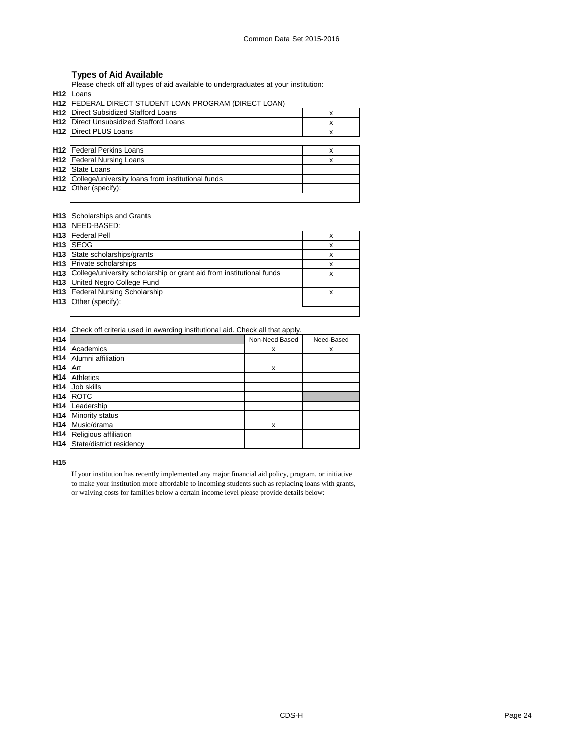## **Types of Aid Available**

Please check off all types of aid available to undergraduates at your institution:

**H12** Loans

|                 | <b>H12 FEDERAL DIRECT STUDENT LOAN PROGRAM (DIRECT LOAN)</b> |   |
|-----------------|--------------------------------------------------------------|---|
|                 | <b>H12</b> Direct Subsidized Stafford Loans                  | x |
| H <sub>12</sub> | Direct Unsubsidized Stafford Loans                           | x |
| H <sub>12</sub> | Direct PLUS Loans                                            | x |
|                 |                                                              |   |
|                 | <b>H12</b>   Federal Perkins Loans                           | x |
| H <sub>12</sub> | <b>Federal Nursing Loans</b>                                 | x |
| H <sub>12</sub> | State Loans                                                  |   |
| H <sub>12</sub> | College/university loans from institutional funds            |   |
| H <sub>12</sub> | Other (specify):                                             |   |
|                 |                                                              |   |

#### **H13** Scholarships and Grants

|                 | H13 NEED-BASED:                                                      |   |
|-----------------|----------------------------------------------------------------------|---|
| H <sub>13</sub> | Federal Pell                                                         | х |
| H <sub>13</sub> | <b>SEOG</b>                                                          | x |
| H <sub>13</sub> | State scholarships/grants                                            | x |
|                 | <b>H13</b> Private scholarships                                      | x |
| H <sub>13</sub> | College/university scholarship or grant aid from institutional funds | x |
| H13             | United Negro College Fund                                            |   |
|                 | H13   Federal Nursing Scholarship                                    | x |
| H <sub>13</sub> | Other (specify):                                                     |   |
|                 |                                                                      |   |

**H14** Check off criteria used in awarding institutional aid. Check all that apply.

| H14             |                          | Non-Need Based | Need-Based |
|-----------------|--------------------------|----------------|------------|
| H14             | Academics                | X              | X          |
| H <sub>14</sub> | Alumni affiliation       |                |            |
| H14             | Art                      | X              |            |
| H <sub>14</sub> | Athletics                |                |            |
| H <sub>14</sub> | Job skills               |                |            |
| H <sub>14</sub> | <b>ROTC</b>              |                |            |
| H <sub>14</sub> | Leadership               |                |            |
| H <sub>14</sub> | Minority status          |                |            |
| H <sub>14</sub> | Music/drama              | X              |            |
| H <sub>14</sub> | Religious affiliation    |                |            |
| H <sub>14</sub> | State/district residency |                |            |

**H15**

If your institution has recently implemented any major financial aid policy, program, or initiative to make your institution more affordable to incoming students such as replacing loans with grants, or waiving costs for families below a certain income level please provide details below: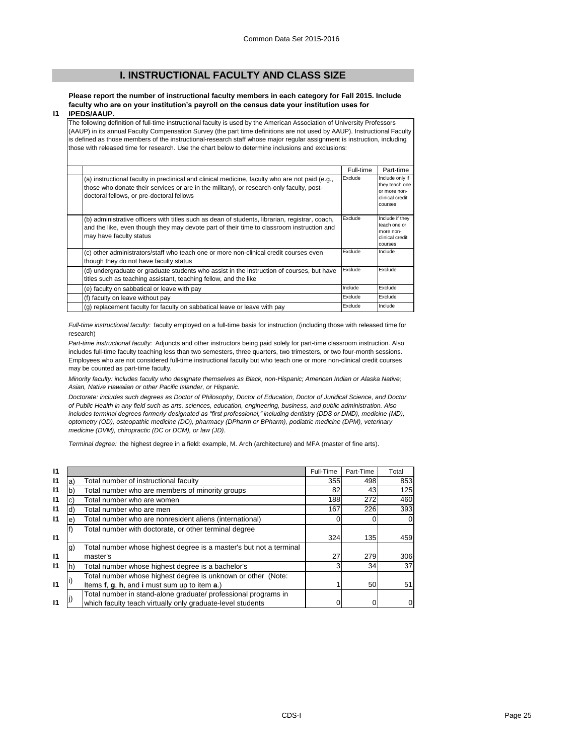# **I. INSTRUCTIONAL FACULTY AND CLASS SIZE**

**Please report the number of instructional faculty members in each category for Fall 2015. Include faculty who are on your institution's payroll on the census date your institution uses for** 

#### **I1 IPEDS/AAUP.**

The following definition of full-time instructional faculty is used by the American Association of University Professors (AAUP) in its annual Faculty Compensation Survey (the part time definitions are not used by AAUP). Instructional Faculty is defined as those members of the instructional-research staff whose major regular assignment is instruction, including those with released time for research. Use the chart below to determine inclusions and exclusions:

|                                                                                                                                                                                                                                          | Full-time | Part-time                                                                       |
|------------------------------------------------------------------------------------------------------------------------------------------------------------------------------------------------------------------------------------------|-----------|---------------------------------------------------------------------------------|
| (a) instructional faculty in preclinical and clinical medicine, faculty who are not paid (e.g.,<br>those who donate their services or are in the military), or research-only faculty, post-<br>doctoral fellows, or pre-doctoral fellows | Exclude   | Include only if<br>they teach one<br>or more non-<br>clinical credit<br>courses |
| (b) administrative officers with titles such as dean of students, librarian, registrar, coach,<br>and the like, even though they may devote part of their time to classroom instruction and<br>may have faculty status                   | Exclude   | Include if they<br>teach one or<br>more non-<br>clinical credit<br>courses      |
| (c) other administrators/staff who teach one or more non-clinical credit courses even<br>though they do not have faculty status                                                                                                          | Exclude   | Include                                                                         |
| (d) undergraduate or graduate students who assist in the instruction of courses, but have<br>titles such as teaching assistant, teaching fellow, and the like                                                                            | Exclude   | Exclude                                                                         |
| (e) faculty on sabbatical or leave with pay                                                                                                                                                                                              | Include   | Exclude                                                                         |
| (f) faculty on leave without pay                                                                                                                                                                                                         | Exclude   | Exclude                                                                         |
| (g) replacement faculty for faculty on sabbatical leave or leave with pay                                                                                                                                                                | Exclude   | Include                                                                         |

*Full-time instructional faculty:* faculty employed on a full-time basis for instruction (including those with released time for research)

*Part-time instructional faculty:* Adjuncts and other instructors being paid solely for part-time classroom instruction. Also includes full-time faculty teaching less than two semesters, three quarters, two trimesters, or two four-month sessions. Employees who are not considered full-time instructional faculty but who teach one or more non-clinical credit courses may be counted as part-time faculty.

*Minority faculty: includes faculty who designate themselves as Black, non-Hispanic; American Indian or Alaska Native; Asian, Native Hawaiian or other Pacific Islander, or Hispanic.* 

*Doctorate: includes such degrees as Doctor of Philosophy, Doctor of Education, Doctor of Juridical Science, and Doctor of Public Health in any field such as arts, sciences, education, engineering, business, and public administration. Also*  includes terminal degrees formerly designated as "first professional," including dentistry (DDS or DMD), medicine (MD), *optometry (OD), osteopathic medicine (DO), pharmacy (DPharm or BPharm), podiatric medicine (DPM), veterinary medicine (DVM), chiropractic (DC or DCM), or law (JD).*

*Terminal degree:* the highest degree in a field: example, M. Arch (architecture) and MFA (master of fine arts).

| $\mathsf{I}$ |    |                                                                    | Full-Time | Part-Time | Total |
|--------------|----|--------------------------------------------------------------------|-----------|-----------|-------|
| $\mathsf{I}$ | a) | Total number of instructional faculty                              | 355       | 498       | 853   |
| $\mathsf{I}$ | b) | Total number who are members of minority groups                    | 82        | 43        | 125   |
| $\mathsf{I}$ | C) | Total number who are women                                         | 188       | 272       | 460   |
| $\mathsf{I}$ | d) | Total number who are men                                           | 167       | 226       | 393   |
| $\mathsf{I}$ | e) | Total number who are nonresident aliens (international)            |           |           |       |
|              |    | Total number with doctorate, or other terminal degree              |           |           |       |
| $\mathsf{I}$ |    |                                                                    | 324       | 135       | 459   |
|              | g) | Total number whose highest degree is a master's but not a terminal |           |           |       |
| $\mathsf{I}$ |    | master's                                                           | 27        | 279       | 306   |
| $\mathsf{I}$ |    | Total number whose highest degree is a bachelor's                  |           | 34 I      | 37    |
|              |    | Total number whose highest degree is unknown or other (Note:       |           |           |       |
| $\mathsf{I}$ |    | Items f, g, h, and i must sum up to item a.)                       |           | 50        | 51    |
|              |    | Total number in stand-alone graduate/ professional programs in     |           |           |       |
| $\mathsf{I}$ |    | which faculty teach virtually only graduate-level students         |           |           |       |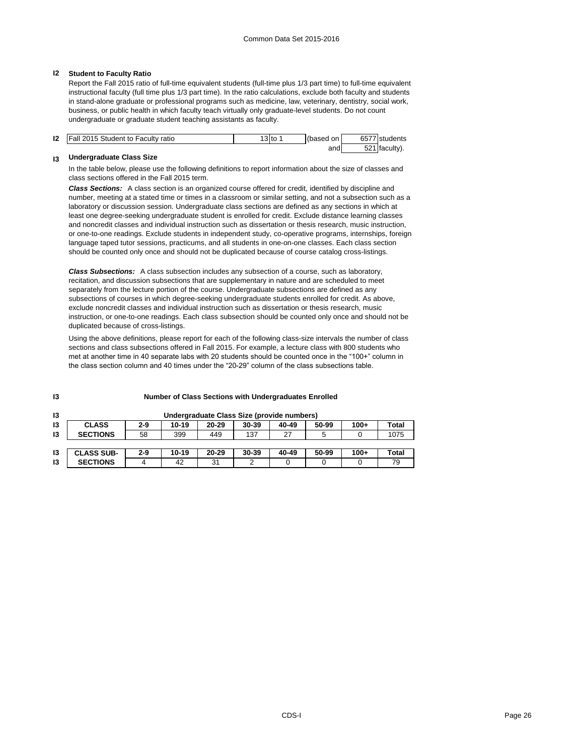## **I2 Student to Faculty Ratio**

Report the Fall 2015 ratio of full-time equivalent students (full-time plus 1/3 part time) to full-time equivalent instructional faculty (full time plus 1/3 part time). In the ratio calculations, exclude both faculty and students in stand-alone graduate or professional programs such as medicine, law, veterinary, dentistry, social work, business, or public health in which faculty teach virtually only graduate-level students. Do not count undergraduate or graduate student teaching assistants as faculty.

| 12 | 2015<br>Student to Faculty ratio<br>lFall. | ∶२lt∩<br>31 TO | (based<br>on i | 6577             | students   |
|----|--------------------------------------------|----------------|----------------|------------------|------------|
|    |                                            |                | and∣           | <b>FO4</b><br>ັ້ | (taculty). |

#### **I3 Undergraduate Class Size**

In the table below, please use the following definitions to report information about the size of classes and class sections offered in the Fall 2015 term.

*Class Sections:* A class section is an organized course offered for credit, identified by discipline and number, meeting at a stated time or times in a classroom or similar setting, and not a subsection such as a laboratory or discussion session. Undergraduate class sections are defined as any sections in which at least one degree-seeking undergraduate student is enrolled for credit. Exclude distance learning classes and noncredit classes and individual instruction such as dissertation or thesis research, music instruction, or one-to-one readings. Exclude students in independent study, co-operative programs, internships, foreign language taped tutor sessions, practicums, and all students in one-on-one classes. Each class section should be counted only once and should not be duplicated because of course catalog cross-listings.

*Class Subsections:* A class subsection includes any subsection of a course, such as laboratory, recitation, and discussion subsections that are supplementary in nature and are scheduled to meet separately from the lecture portion of the course. Undergraduate subsections are defined as any subsections of courses in which degree-seeking undergraduate students enrolled for credit. As above, exclude noncredit classes and individual instruction such as dissertation or thesis research, music instruction, or one-to-one readings. Each class subsection should be counted only once and should not be duplicated because of cross-listings.

Using the above definitions, please report for each of the following class-size intervals the number of class sections and class subsections offered in Fall 2015. For example, a lecture class with 800 students who met at another time in 40 separate labs with 20 students should be counted once in the "100+" column in the class section column and 40 times under the "20-29" column of the class subsections table.

**Number of Class Sections with Undergraduates Enrolled**

| 13              |                   |         |           |           | Undergraduate Class Size (provide numbers) |       |       |        |       |
|-----------------|-------------------|---------|-----------|-----------|--------------------------------------------|-------|-------|--------|-------|
| 13              | <b>CLASS</b>      | $2 - 9$ | $10 - 19$ | $20 - 29$ | $30 - 39$                                  | 40-49 | 50-99 | $100+$ | Total |
| $\overline{13}$ | <b>SECTIONS</b>   | 58      | 399       | 449       | 137                                        | 27    | 5     |        | 1075  |
|                 |                   |         |           |           |                                            |       |       |        |       |
| $\overline{13}$ | <b>CLASS SUB-</b> | $2 - 9$ | $10 - 19$ | $20 - 29$ | $30 - 39$                                  | 40-49 | 50-99 | $100+$ | Total |
| 13              | <b>SECTIONS</b>   |         | 42        | 31        |                                            |       |       |        | 79    |

#### **I3**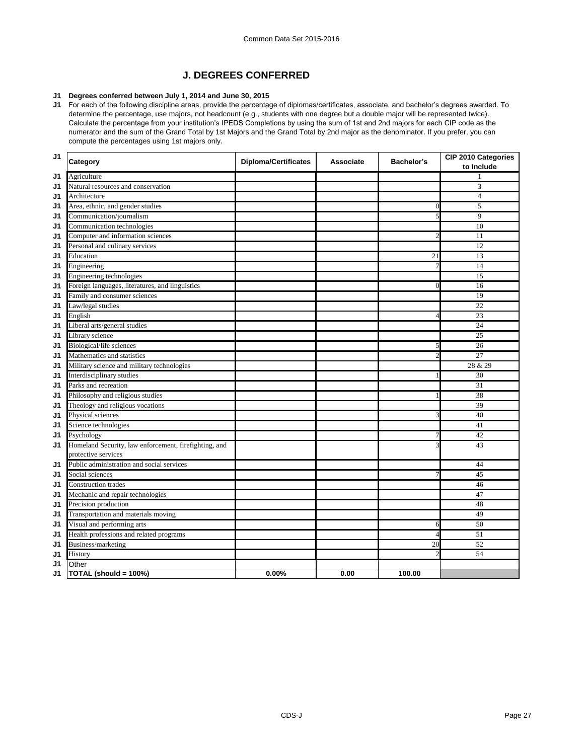# **J. DEGREES CONFERRED**

## **J1 Degrees conferred between July 1, 2014 and June 30, 2015**

**J1** For each of the following discipline areas, provide the percentage of diplomas/certificates, associate, and bachelor's degrees awarded. To determine the percentage, use majors, not headcount (e.g., students with one degree but a double major will be represented twice). Calculate the percentage from your institution's IPEDS Completions by using the sum of 1st and 2nd majors for each CIP code as the numerator and the sum of the Grand Total by 1st Majors and the Grand Total by 2nd major as the denominator. If you prefer, you can compute the percentages using 1st majors only.

| J <sub>1</sub> | Category                                              | <b>Diploma/Certificates</b> | <b>Associate</b> | <b>Bachelor's</b> | <b>CIP 2010 Categories</b><br>to Include |
|----------------|-------------------------------------------------------|-----------------------------|------------------|-------------------|------------------------------------------|
| J1             | Agriculture                                           |                             |                  |                   |                                          |
| J <sub>1</sub> | Natural resources and conservation                    |                             |                  |                   | 3                                        |
| J1             | Architecture                                          |                             |                  |                   | 4                                        |
| J1             | Area, ethnic, and gender studies                      |                             |                  |                   | 5                                        |
| J <sub>1</sub> | Communication/journalism                              |                             |                  |                   | 9                                        |
| J1             | Communication technologies                            |                             |                  |                   | 10                                       |
| J <sub>1</sub> | Computer and information sciences                     |                             |                  |                   | 11                                       |
| J1             | Personal and culinary services                        |                             |                  |                   | 12                                       |
| J1             | Education                                             |                             |                  | 21                | 13                                       |
| J1             | Engineering                                           |                             |                  |                   | 14                                       |
| J1             | Engineering technologies                              |                             |                  |                   | 15                                       |
| J1             | Foreign languages, literatures, and linguistics       |                             |                  |                   | 16                                       |
| J <sub>1</sub> | Family and consumer sciences                          |                             |                  |                   | 19                                       |
| J <sub>1</sub> | Law/legal studies                                     |                             |                  |                   | 22                                       |
| J1             | English                                               |                             |                  |                   | 23                                       |
| J1             | Liberal arts/general studies                          |                             |                  |                   | 24                                       |
| J1             | Library science                                       |                             |                  |                   | 25                                       |
| J1             | <b>Biological/life sciences</b>                       |                             |                  |                   | 26                                       |
| J1             | Mathematics and statistics                            |                             |                  |                   | 27                                       |
| J1             | Military science and military technologies            |                             |                  |                   | 28 & 29                                  |
| J1             | Interdisciplinary studies                             |                             |                  |                   | 30                                       |
| J1             | Parks and recreation                                  |                             |                  |                   | 31                                       |
| J1             | Philosophy and religious studies                      |                             |                  |                   | 38                                       |
| J <sub>1</sub> | Theology and religious vocations                      |                             |                  |                   | 39                                       |
| J1             | Physical sciences                                     |                             |                  |                   | 40                                       |
| J1             | Science technologies                                  |                             |                  |                   | 41                                       |
| J1             | Psychology                                            |                             |                  |                   | 42                                       |
| J1             | Homeland Security, law enforcement, firefighting, and |                             |                  |                   | 43                                       |
|                | protective services                                   |                             |                  |                   |                                          |
| J1             | Public administration and social services             |                             |                  |                   | 44                                       |
| J1             | Social sciences                                       |                             |                  |                   | 45                                       |
| J1             | <b>Construction trades</b>                            |                             |                  |                   | 46                                       |
| J <sub>1</sub> | Mechanic and repair technologies                      |                             |                  |                   | 47                                       |
| J <sub>1</sub> | Precision production                                  |                             |                  |                   | 48                                       |
| J1             | Transportation and materials moving                   |                             |                  |                   | 49                                       |
| J1             | Visual and performing arts                            |                             |                  | 6                 | 50                                       |
| J <sub>1</sub> | Health professions and related programs               |                             |                  | Δ                 | 51                                       |
| J1             | Business/marketing                                    |                             |                  | 20                | 52                                       |
| J1             | History                                               |                             |                  | $\mathfrak{D}$    | 54                                       |
| J <sub>1</sub> | Other                                                 |                             |                  |                   |                                          |
| J <sub>1</sub> | TOTAL (should = 100%)                                 | 0.00%                       | 0.00             | 100.00            |                                          |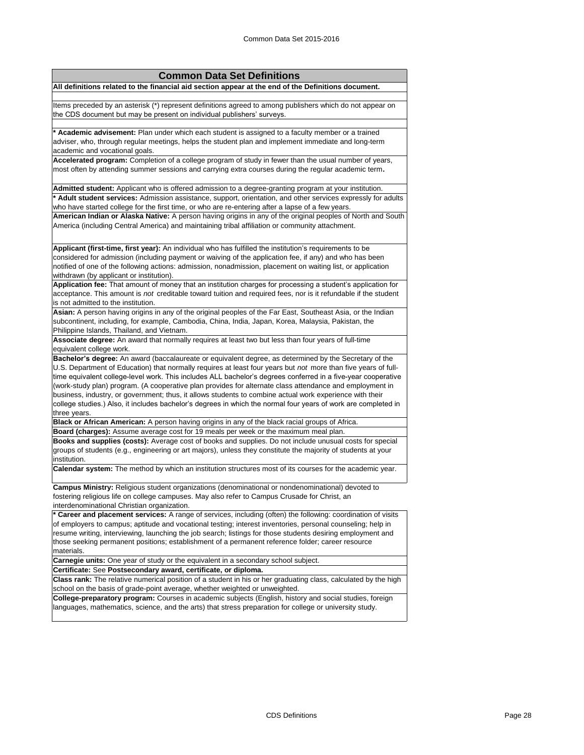# **Common Data Set Definitions**

**All definitions related to the financial aid section appear at the end of the Definitions document.**

Items preceded by an asterisk (\*) represent definitions agreed to among publishers which do not appear on the CDS document but may be present on individual publishers' surveys.

**\* Academic advisement:** Plan under which each student is assigned to a faculty member or a trained adviser, who, through regular meetings, helps the student plan and implement immediate and long-term academic and vocational goals.

**Accelerated program:** Completion of a college program of study in fewer than the usual number of years, most often by attending summer sessions and carrying extra courses during the regular academic term**.**

**Admitted student:** Applicant who is offered admission to a degree-granting program at your institution. **\* Adult student services:** Admission assistance, support, orientation, and other services expressly for adults who have started college for the first time, or who are re-entering after a lapse of a few years.

**American Indian or Alaska Native:** A person having origins in any of the original peoples of North and South America (including Central America) and maintaining tribal affiliation or community attachment.

**Applicant (first-time, first year):** An individual who has fulfilled the institution's requirements to be considered for admission (including payment or waiving of the application fee, if any) and who has been notified of one of the following actions: admission, nonadmission, placement on waiting list, or application withdrawn (by applicant or institution).

**Application fee:** That amount of money that an institution charges for processing a student's application for acceptance. This amount is *not* creditable toward tuition and required fees, nor is it refundable if the student is not admitted to the institution.

**Asian:** A person having origins in any of the original peoples of the Far East, Southeast Asia, or the Indian subcontinent, including, for example, Cambodia, China, India, Japan, Korea, Malaysia, Pakistan, the Philippine Islands, Thailand, and Vietnam.

**Associate degree:** An award that normally requires at least two but less than four years of full-time equivalent college work.

**Bachelor's degree:** An award (baccalaureate or equivalent degree, as determined by the Secretary of the U.S. Department of Education) that normally requires at least four years but *not* more than five years of fulltime equivalent college-level work. This includes ALL bachelor's degrees conferred in a five-year cooperative (work-study plan) program. (A cooperative plan provides for alternate class attendance and employment in business, industry, or government; thus, it allows students to combine actual work experience with their college studies.) Also, it includes bachelor's degrees in which the normal four years of work are completed in three years.

**Black or African American:** A person having origins in any of the black racial groups of Africa.

**Board (charges):** Assume average cost for 19 meals per week or the maximum meal plan. **Books and supplies (costs):** Average cost of books and supplies. Do not include unusual costs for special groups of students (e.g., engineering or art majors), unless they constitute the majority of students at your institution.

**Calendar system:** The method by which an institution structures most of its courses for the academic year.

**Campus Ministry:** Religious student organizations (denominational or nondenominational) devoted to fostering religious life on college campuses. May also refer to Campus Crusade for Christ, an interdenominational Christian organization.

**\* Career and placement services:** A range of services, including (often) the following: coordination of visits of employers to campus; aptitude and vocational testing; interest inventories, personal counseling; help in resume writing, interviewing, launching the job search; listings for those students desiring employment and those seeking permanent positions; establishment of a permanent reference folder; career resource materials.

**Carnegie units:** One year of study or the equivalent in a secondary school subject.

**Certificate:** See **Postsecondary award, certificate, or diploma.**

**Class rank:** The relative numerical position of a student in his or her graduating class, calculated by the high school on the basis of grade-point average, whether weighted or unweighted.

**College-preparatory program:** Courses in academic subjects (English, history and social studies, foreign languages, mathematics, science, and the arts) that stress preparation for college or university study.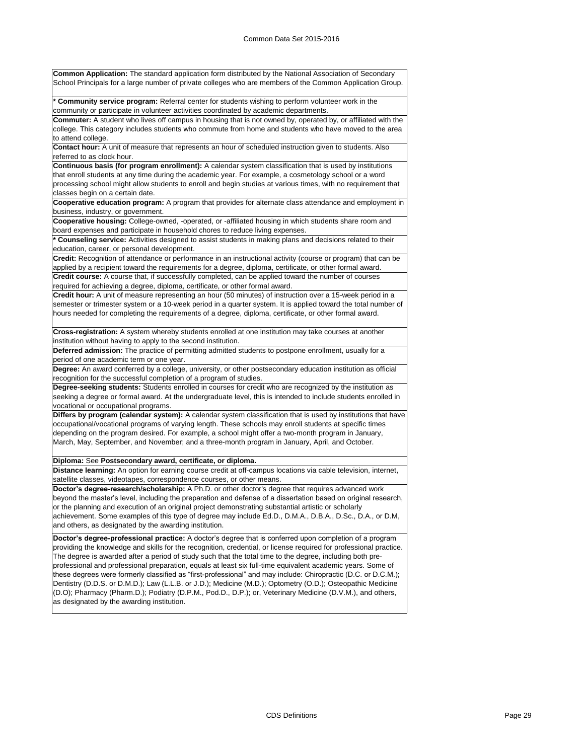**Common Application:** The standard application form distributed by the National Association of Secondary School Principals for a large number of private colleges who are members of the Common Application Group. **\* Community service program:** Referral center for students wishing to perform volunteer work in the community or participate in volunteer activities coordinated by academic departments. **Commuter:** A student who lives off campus in housing that is not owned by, operated by, or affiliated with the college. This category includes students who commute from home and students who have moved to the area to attend college. **Contact hour:** A unit of measure that represents an hour of scheduled instruction given to students. Also referred to as clock hour. **Continuous basis (for program enrollment):** A calendar system classification that is used by institutions that enroll students at any time during the academic year. For example, a cosmetology school or a word processing school might allow students to enroll and begin studies at various times, with no requirement that classes begin on a certain date. **Cooperative education program:** A program that provides for alternate class attendance and employment in business, industry, or government. **Cooperative housing:** College-owned, -operated, or -affiliated housing in which students share room and board expenses and participate in household chores to reduce living expenses. **\* Counseling service:** Activities designed to assist students in making plans and decisions related to their education, career, or personal development. **Credit:** Recognition of attendance or performance in an instructional activity (course or program) that can be applied by a recipient toward the requirements for a degree, diploma, certificate, or other formal award. **Credit course:** A course that, if successfully completed, can be applied toward the number of courses required for achieving a degree, diploma, certificate, or other formal award. **Credit hour:** A unit of measure representing an hour (50 minutes) of instruction over a 15-week period in a semester or trimester system or a 10-week period in a quarter system. It is applied toward the total number of hours needed for completing the requirements of a degree, diploma, certificate, or other formal award. **Cross-registration:** A system whereby students enrolled at one institution may take courses at another institution without having to apply to the second institution. **Deferred admission:** The practice of permitting admitted students to postpone enrollment, usually for a period of one academic term or one year. **Degree:** An award conferred by a college, university, or other postsecondary education institution as official recognition for the successful completion of a program of studies. **Degree-seeking students:** Students enrolled in courses for credit who are recognized by the institution as seeking a degree or formal award. At the undergraduate level, this is intended to include students enrolled in vocational or occupational programs. **Differs by program (calendar system):** A calendar system classification that is used by institutions that have occupational/vocational programs of varying length. These schools may enroll students at specific times depending on the program desired. For example, a school might offer a two-month program in January, March, May, September, and November; and a three-month program in January, April, and October. **Diploma:** See **Postsecondary award, certificate, or diploma. Distance learning:** An option for earning course credit at off-campus locations via cable television, internet, satellite classes, videotapes, correspondence courses, or other means. **Doctor's degree-research/scholarship:** A Ph.D. or other doctor's degree that requires advanced work beyond the master's level, including the preparation and defense of a dissertation based on original research, or the planning and execution of an original project demonstrating substantial artistic or scholarly achievement. Some examples of this type of degree may include Ed.D., D.M.A., D.B.A., D.Sc., D.A., or D.M, and others, as designated by the awarding institution. **Doctor's degree-professional practice:** A doctor's degree that is conferred upon completion of a program providing the knowledge and skills for the recognition, credential, or license required for professional practice. The degree is awarded after a period of study such that the total time to the degree, including both preprofessional and professional preparation, equals at least six full-time equivalent academic years. Some of these degrees were formerly classified as "first-professional" and may include: Chiropractic (D.C. or D.C.M.); Dentistry (D.D.S. or D.M.D.); Law (L.L.B. or J.D.); Medicine (M.D.); Optometry (O.D.); Osteopathic Medicine (D.O); Pharmacy (Pharm.D.); Podiatry (D.P.M., Pod.D., D.P.); or, Veterinary Medicine (D.V.M.), and others, as designated by the awarding institution.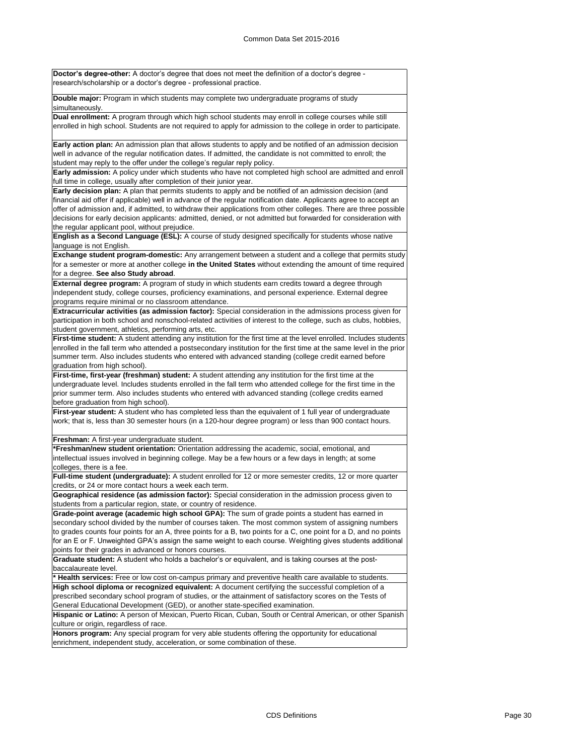**Doctor's degree-other:** A doctor's degree that does not meet the definition of a doctor's degree research/scholarship or a doctor's degree - professional practice.

**Double major:** Program in which students may complete two undergraduate programs of study simultaneously.

**Dual enrollment:** A program through which high school students may enroll in college courses while still enrolled in high school. Students are not required to apply for admission to the college in order to participate.

**Early action plan:** An admission plan that allows students to apply and be notified of an admission decision well in advance of the regular notification dates. If admitted, the candidate is not committed to enroll; the student may reply to the offer under the college's regular reply policy.

**Early admission:** A policy under which students who have not completed high school are admitted and enroll full time in college, usually after completion of their junior year.

**Early decision plan:** A plan that permits students to apply and be notified of an admission decision (and financial aid offer if applicable) well in advance of the regular notification date. Applicants agree to accept an offer of admission and, if admitted, to withdraw their applications from other colleges. There are three possible decisions for early decision applicants: admitted, denied, or not admitted but forwarded for consideration with the regular applicant pool, without prejudice.

**English as a Second Language (ESL):** A course of study designed specifically for students whose native language is not English.

**Exchange student program-domestic:** Any arrangement between a student and a college that permits study for a semester or more at another college **in the United States** without extending the amount of time required for a degree. **See also Study abroad**.

**External degree program:** A program of study in which students earn credits toward a degree through independent study, college courses, proficiency examinations, and personal experience. External degree programs require minimal or no classroom attendance.

**Extracurricular activities (as admission factor):** Special consideration in the admissions process given for participation in both school and nonschool-related activities of interest to the college, such as clubs, hobbies, student government, athletics, performing arts, etc.

First-time student: A student attending any institution for the first time at the level enrolled. Includes students enrolled in the fall term who attended a postsecondary institution for the first time at the same level in the prior summer term. Also includes students who entered with advanced standing (college credit earned before graduation from high school).

**First-time, first-year (freshman) student:** A student attending any institution for the first time at the undergraduate level. Includes students enrolled in the fall term who attended college for the first time in the prior summer term. Also includes students who entered with advanced standing (college credits earned before graduation from high school).

**First-year student:** A student who has completed less than the equivalent of 1 full year of undergraduate work; that is, less than 30 semester hours (in a 120-hour degree program) or less than 900 contact hours.

**Freshman:** A first-year undergraduate student.

**\*Freshman/new student orientation:** Orientation addressing the academic, social, emotional, and intellectual issues involved in beginning college. May be a few hours or a few days in length; at some colleges, there is a fee.

**Full-time student (undergraduate):** A student enrolled for 12 or more semester credits, 12 or more quarter credits, or 24 or more contact hours a week each term.

**Geographical residence (as admission factor):** Special consideration in the admission process given to students from a particular region, state, or country of residence.

**Grade-point average (academic high school GPA):** The sum of grade points a student has earned in secondary school divided by the number of courses taken. The most common system of assigning numbers to grades counts four points for an A, three points for a B, two points for a C, one point for a D, and no points for an E or F. Unweighted GPA's assign the same weight to each course. Weighting gives students additional points for their grades in advanced or honors courses.

**Graduate student:** A student who holds a bachelor's or equivalent, and is taking courses at the postbaccalaureate level.

**\* Health services:** Free or low cost on-campus primary and preventive health care available to students. **High school diploma or recognized equivalent:** A document certifying the successful completion of a

prescribed secondary school program of studies, or the attainment of satisfactory scores on the Tests of General Educational Development (GED), or another state-specified examination.

**Hispanic or Latino:** A person of Mexican, Puerto Rican, Cuban, South or Central American, or other Spanish culture or origin, regardless of race.

**Honors program:** Any special program for very able students offering the opportunity for educational nrichment, independent study, acceleration, or some combination of thes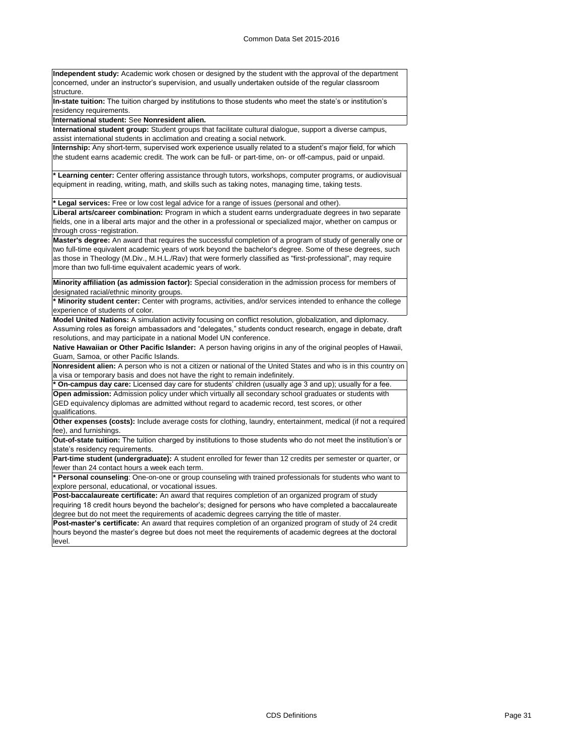**Independent study:** Academic work chosen or designed by the student with the approval of the department concerned, under an instructor's supervision, and usually undertaken outside of the regular classroom structure.

**In-state tuition:** The tuition charged by institutions to those students who meet the state's or institution's residency requirements.

**International student:** See **Nonresident alien.**

**International student group:** Student groups that facilitate cultural dialogue, support a diverse campus, assist international students in acclimation and creating a social network.

**Internship:** Any short-term, supervised work experience usually related to a student's major field, for which the student earns academic credit. The work can be full- or part-time, on- or off-campus, paid or unpaid.

**\* Learning center:** Center offering assistance through tutors, workshops, computer programs, or audiovisual equipment in reading, writing, math, and skills such as taking notes, managing time, taking tests.

**\* Legal services:** Free or low cost legal advice for a range of issues (personal and other).

**Liberal arts/career combination:** Program in which a student earns undergraduate degrees in two separate fields, one in a liberal arts major and the other in a professional or specialized major, whether on campus or through cross‑registration.

**Master's degree:** An award that requires the successful completion of a program of study of generally one or two full-time equivalent academic years of work beyond the bachelor's degree. Some of these degrees, such as those in Theology (M.Div., M.H.L./Rav) that were formerly classified as "first-professional", may require more than two full-time equivalent academic years of work.

**Minority affiliation (as admission factor):** Special consideration in the admission process for members of designated racial/ethnic minority groups.

**\* Minority student center:** Center with programs, activities, and/or services intended to enhance the college experience of students of color.

**Model United Nations:** A simulation activity focusing on conflict resolution, globalization, and diplomacy. Assuming roles as foreign ambassadors and "delegates," students conduct research, engage in debate, draft resolutions, and may participate in a national Model UN conference.

**Native Hawaiian or Other Pacific Islander:** A person having origins in any of the original peoples of Hawaii, Guam, Samoa, or other Pacific Islands.

**Nonresident alien:** A person who is not a citizen or national of the United States and who is in this country on a visa or temporary basis and does not have the right to remain indefinitely.

**\* On-campus day care:** Licensed day care for students' children (usually age 3 and up); usually for a fee.

**Open admission:** Admission policy under which virtually all secondary school graduates or students with GED equivalency diplomas are admitted without regard to academic record, test scores, or other qualifications.

**Other expenses (costs):** Include average costs for clothing, laundry, entertainment, medical (if not a required fee), and furnishings.

**Out-of-state tuition:** The tuition charged by institutions to those students who do not meet the institution's or state's residency requirements.

**Part-time student (undergraduate):** A student enrolled for fewer than 12 credits per semester or quarter, or fewer than 24 contact hours a week each term.

**\* Personal counseling**: One-on-one or group counseling with trained professionals for students who want to explore personal, educational, or vocational issues.

**Post-baccalaureate certificate:** An award that requires completion of an organized program of study requiring 18 credit hours beyond the bachelor's; designed for persons who have completed a baccalaureate degree but do not meet the requirements of academic degrees carrying the title of master.

**Post-master's certificate:** An award that requires completion of an organized program of study of 24 credit hours beyond the master's degree but does not meet the requirements of academic degrees at the doctoral level.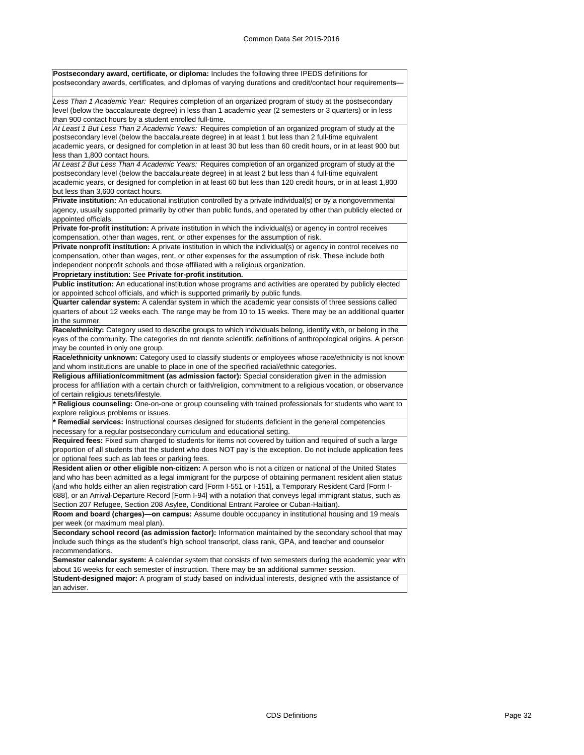**Postsecondary award, certificate, or diploma:** Includes the following three IPEDS definitions for postsecondary awards, certificates, and diplomas of varying durations and credit/contact hour requirements—

*Less Than 1 Academic Year:* Requires completion of an organized program of study at the postsecondary level (below the baccalaureate degree) in less than 1 academic year (2 semesters or 3 quarters) or in less than 900 contact hours by a student enrolled full-time.

*At Least 1 But Less Than 2 Academic Years:* Requires completion of an organized program of study at the postsecondary level (below the baccalaureate degree) in at least 1 but less than 2 full-time equivalent academic years, or designed for completion in at least 30 but less than 60 credit hours, or in at least 900 but

less than 1,800 contact hours. *At Least 2 But Less Than 4 Academic Years:* Requires completion of an organized program of study at the postsecondary level (below the baccalaureate degree) in at least 2 but less than 4 full-time equivalent academic years, or designed for completion in at least 60 but less than 120 credit hours, or in at least 1,800 but less than 3,600 contact hours.

**Private institution:** An educational institution controlled by a private individual(s) or by a nongovernmental agency, usually supported primarily by other than public funds, and operated by other than publicly elected or appointed officials.

**Private for-profit institution:** A private institution in which the individual(s) or agency in control receives compensation, other than wages, rent, or other expenses for the assumption of risk.

**Private nonprofit institution:** A private institution in which the individual(s) or agency in control receives no compensation, other than wages, rent, or other expenses for the assumption of risk. These include both independent nonprofit schools and those affiliated with a religious organization.

**Proprietary institution:** See **Private for-profit institution.**

**Public institution:** An educational institution whose programs and activities are operated by publicly elected or appointed school officials, and which is supported primarily by public funds.

**Quarter calendar system:** A calendar system in which the academic year consists of three sessions called quarters of about 12 weeks each. The range may be from 10 to 15 weeks. There may be an additional quarter in the summer.

**Race/ethnicity:** Category used to describe groups to which individuals belong, identify with, or belong in the eyes of the community. The categories do not denote scientific definitions of anthropological origins. A person may be counted in only one group.

**Race/ethnicity unknown:** Category used to classify students or employees whose race/ethnicity is not known and whom institutions are unable to place in one of the specified racial/ethnic categories.

**Religious affiliation/commitment (as admission factor):** Special consideration given in the admission process for affiliation with a certain church or faith/religion, commitment to a religious vocation, or observance of certain religious tenets/lifestyle.

**\* Religious counseling:** One-on-one or group counseling with trained professionals for students who want to explore religious problems or issues.

**\* Remedial services:** Instructional courses designed for students deficient in the general competencies necessary for a regular postsecondary curriculum and educational setting.

**Required fees:** Fixed sum charged to students for items not covered by tuition and required of such a large proportion of all students that the student who does NOT pay is the exception. Do not include application fees or optional fees such as lab fees or parking fees.

**Resident alien or other eligible non-citizen:** A person who is not a citizen or national of the United States and who has been admitted as a legal immigrant for the purpose of obtaining permanent resident alien status (and who holds either an alien registration card [Form I-551 or I-151], a Temporary Resident Card [Form I-688], or an Arrival-Departure Record [Form I-94] with a notation that conveys legal immigrant status, such as Section 207 Refugee, Section 208 Asylee, Conditional Entrant Parolee or Cuban-Haitian).

**Room and board (charges)—on campus:** Assume double occupancy in institutional housing and 19 meals per week (or maximum meal plan).

**Secondary school record (as admission factor):** Information maintained by the secondary school that may include such things as the student's high school transcript, class rank, GPA, and teacher and counselor recommendations.

**Semester calendar system:** A calendar system that consists of two semesters during the academic year with about 16 weeks for each semester of instruction. There may be an additional summer session.

**Student-designed major:** A program of study based on individual interests, designed with the assistance of an adviser.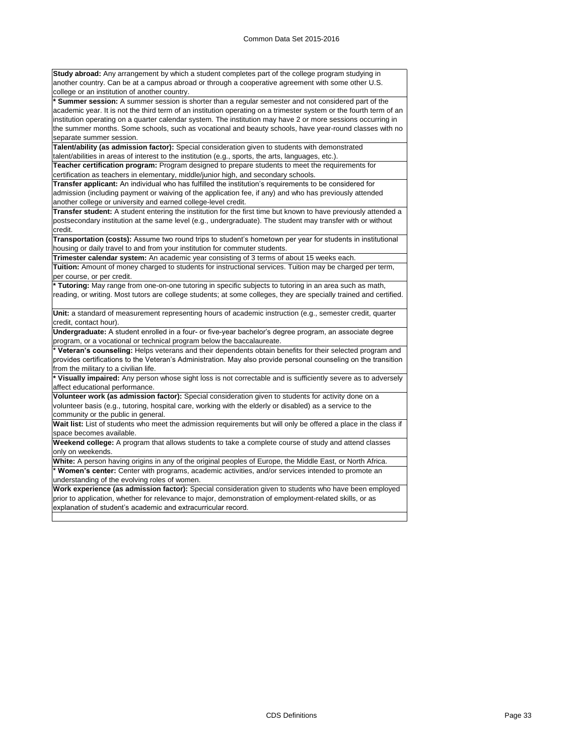**Study abroad:** Any arrangement by which a student completes part of the college program studying in another country. Can be at a campus abroad or through a cooperative agreement with some other U.S. college or an institution of another country.

**Summer session:** A summer session is shorter than a regular semester and not considered part of the academic year. It is not the third term of an institution operating on a trimester system or the fourth term of an institution operating on a quarter calendar system. The institution may have 2 or more sessions occurring in the summer months. Some schools, such as vocational and beauty schools, have year-round classes with no separate summer session.

**Talent/ability (as admission factor):** Special consideration given to students with demonstrated talent/abilities in areas of interest to the institution (e.g., sports, the arts, languages, etc.).

**Teacher certification program:** Program designed to prepare students to meet the requirements for certification as teachers in elementary, middle/junior high, and secondary schools.

**Transfer applicant:** An individual who has fulfilled the institution's requirements to be considered for admission (including payment or waiving of the application fee, if any) and who has previously attended another college or university and earned college-level credit.

**Transfer student:** A student entering the institution for the first time but known to have previously attended a postsecondary institution at the same level (e.g., undergraduate). The student may transfer with or without credit.

**Transportation (costs):** Assume two round trips to student's hometown per year for students in institutional housing or daily travel to and from your institution for commuter students.

**Trimester calendar system:** An academic year consisting of 3 terms of about 15 weeks each.

**Tuition:** Amount of money charged to students for instructional services. Tuition may be charged per term, per course, or per credit.

**\* Tutoring:** May range from one-on-one tutoring in specific subjects to tutoring in an area such as math, reading, or writing. Most tutors are college students; at some colleges, they are specially trained and certified.

**Unit:** a standard of measurement representing hours of academic instruction (e.g., semester credit, quarter credit, contact hour).

**Undergraduate:** A student enrolled in a four- or five-year bachelor's degree program, an associate degree program, or a vocational or technical program below the baccalaureate.

**Yeteran's counseling:** Helps veterans and their dependents obtain benefits for their selected program and provides certifications to the Veteran's Administration. May also provide personal counseling on the transition from the military to a civilian life.

**\* Visually impaired:** Any person whose sight loss is not correctable and is sufficiently severe as to adversely affect educational performance.

**Volunteer work (as admission factor):** Special consideration given to students for activity done on a volunteer basis (e.g., tutoring, hospital care, working with the elderly or disabled) as a service to the community or the public in general.

**Wait list:** List of students who meet the admission requirements but will only be offered a place in the class if space becomes available.

**Weekend college:** A program that allows students to take a complete course of study and attend classes only on weekends.

**White:** A person having origins in any of the original peoples of Europe, the Middle East, or North Africa. **\* Women's center:** Center with programs, academic activities, and/or services intended to promote an understanding of the evolving roles of women.

**Work experience (as admission factor):** Special consideration given to students who have been employed prior to application, whether for relevance to major, demonstration of employment-related skills, or as explanation of student's academic and extracurricular record.